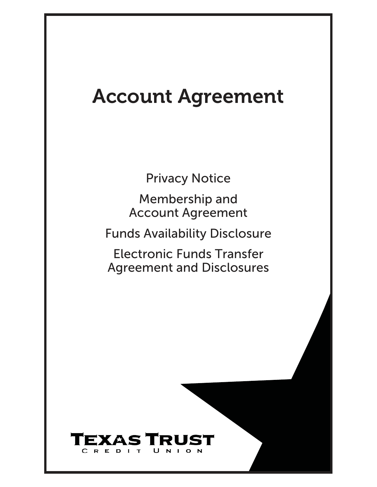# Account Agreement

Privacy Notice

Membership and Account Agreement

<span id="page-0-0"></span>Funds Availability Disclosure

<span id="page-0-1"></span>Electronic Funds Transfer Agreement and Disclosures

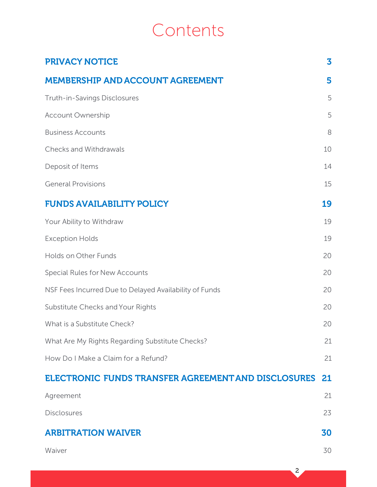## Contents

| <b>PRIVACY NOTICE</b>                                  | $\overline{\mathbf{3}}$ |
|--------------------------------------------------------|-------------------------|
| <b>MEMBERSHIP AND ACCOUNT AGREEMENT</b>                | 5                       |
| Truth-in-Savings Disclosures                           | 5                       |
| <b>Account Ownership</b>                               | 5                       |
| <b>Business Accounts</b>                               | 8                       |
| <b>Checks and Withdrawals</b>                          | 10                      |
| Deposit of Items                                       | 14                      |
| <b>General Provisions</b>                              | 15                      |
| <b>FUNDS AVAILABILITY POLICY</b>                       | 19                      |
| Your Ability to Withdraw                               | 19                      |
| <b>Exception Holds</b>                                 | 19                      |
| Holds on Other Funds                                   | 20                      |
| Special Rules for New Accounts                         | 20                      |
| NSF Fees Incurred Due to Delayed Availability of Funds | 20                      |
| Substitute Checks and Your Rights                      | 20                      |
| What is a Substitute Check?                            | 20                      |
| What Are My Rights Regarding Substitute Checks?        | 21                      |
| How Do I Make a Claim for a Refund?                    | 21                      |
| ELECTRONIC FUNDS TRANSFER AGREEMENT AND DISCLOSURES    | 21                      |
| Agreement                                              | 21                      |
| <b>Disclosures</b>                                     | 23                      |
| <b>ARBITRATION WAIVER</b>                              | 30                      |
| Waiver                                                 | 30                      |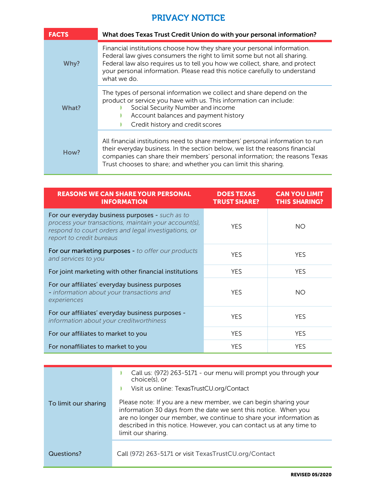## PRIVACY NOTICE

| <b>FACTS</b> | What does Texas Trust Credit Union do with your personal information?                                                                                                                                                                                                                                                           |
|--------------|---------------------------------------------------------------------------------------------------------------------------------------------------------------------------------------------------------------------------------------------------------------------------------------------------------------------------------|
| Why?         | Financial institutions choose how they share your personal information.<br>Federal law gives consumers the right to limit some but not all sharing.<br>Federal law also requires us to tell you how we collect, share, and protect<br>your personal information. Please read this notice carefully to understand<br>what we do. |
| What?        | The types of personal information we collect and share depend on the<br>product or service you have with us. This information can include:<br>Social Security Number and income<br>Account balances and payment history<br>Credit history and credit scores                                                                     |
| How?         | All financial institutions need to share members' personal information to run<br>their everyday business. In the section below, we list the reasons financial<br>companies can share their members' personal information; the reasons Texas<br>Trust chooses to share; and whether you can limit this sharing.                  |

| <b>REASONS WE CAN SHARE YOUR PERSONAL</b><br><b>INFORMATION</b>                                                                                                                             | <b>DOES TEXAS</b><br><b>TRUST SHARE?</b> | <b>CAN YOU LIMIT</b><br><b>THIS SHARING?</b> |
|---------------------------------------------------------------------------------------------------------------------------------------------------------------------------------------------|------------------------------------------|----------------------------------------------|
| For our everyday business purposes - such as to<br>process your transactions, maintain your account(s),<br>respond to court orders and legal investigations, or<br>report to credit bureaus | <b>YFS</b>                               | NO.                                          |
| For our marketing purposes - to offer our products<br>and services to you                                                                                                                   | <b>YFS</b>                               | <b>YFS</b>                                   |
| For joint marketing with other financial institutions                                                                                                                                       | <b>YES</b>                               | <b>YES</b>                                   |
| For our affiliates' everyday business purposes<br>- information about your transactions and<br>experiences                                                                                  | <b>YFS</b>                               | NO.                                          |
| For our affiliates' everyday business purposes -<br>information about your creditworthiness                                                                                                 | <b>YFS</b>                               | <b>YFS</b>                                   |
| For our affiliates to market to you                                                                                                                                                         | <b>YES</b>                               | <b>YFS</b>                                   |
| For nonaffiliates to market to you                                                                                                                                                          | <b>YFS</b>                               | <b>YFS</b>                                   |

|                      | Call us: (972) 263-5171 - our menu will prompt you through your<br>choice(s), or<br>Visit us online: TexasTrustCU.org/Contact                                                                                                                                                                          |
|----------------------|--------------------------------------------------------------------------------------------------------------------------------------------------------------------------------------------------------------------------------------------------------------------------------------------------------|
| To limit our sharing | Please note: If you are a new member, we can begin sharing your<br>information 30 days from the date we sent this notice. When you<br>are no longer our member, we continue to share your information as<br>described in this notice. However, you can contact us at any time to<br>limit our sharing. |
| Questions?           | Call (972) 263-5171 or visit TexasTrustCU.org/Contact                                                                                                                                                                                                                                                  |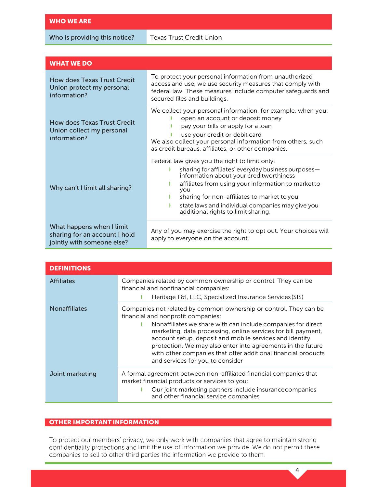Who is providing this notice?

| <b>WHAT WE DO</b>                                                                        |                                                                                                                                                                                                                                                                                                                                                         |  |  |
|------------------------------------------------------------------------------------------|---------------------------------------------------------------------------------------------------------------------------------------------------------------------------------------------------------------------------------------------------------------------------------------------------------------------------------------------------------|--|--|
| How does Texas Trust Credit<br>Union protect my personal<br>information?                 | To protect your personal information from unauthorized<br>access and use, we use security measures that comply with<br>federal law. These measures include computer safeguards and<br>secured files and buildings.                                                                                                                                      |  |  |
| How does Texas Trust Credit<br>Union collect my personal<br>information?                 | We collect your personal information, for example, when you:<br>open an account or deposit money<br>pay your bills or apply for a loan<br>use your credit or debit card<br>We also collect your personal information from others, such<br>as credit bureaus, affiliates, or other companies.                                                            |  |  |
| Why can't I limit all sharing?                                                           | Federal law gives you the right to limit only:<br>sharing for affiliates' everyday business purposes-<br>information about your creditworthiness<br>affiliates from using your information to marketto<br>you<br>sharing for non-affiliates to market to you<br>state laws and individual companies may give you<br>additional rights to limit sharing. |  |  |
| What happens when I limit<br>sharing for an account I hold<br>jointly with someone else? | Any of you may exercise the right to opt out. Your choices will<br>apply to everyone on the account.                                                                                                                                                                                                                                                    |  |  |

| <b>DEFINITIONS</b>   |                                                                                                                                                                                                                                                                                                                                                                                                                                                                         |
|----------------------|-------------------------------------------------------------------------------------------------------------------------------------------------------------------------------------------------------------------------------------------------------------------------------------------------------------------------------------------------------------------------------------------------------------------------------------------------------------------------|
| <b>Affiliates</b>    | Companies related by common ownership or control. They can be<br>financial and nonfinancial companies:<br>Heritage F&I, LLC, Specialized Insurance Services (SIS)                                                                                                                                                                                                                                                                                                       |
| <b>Nonaffiliates</b> | Companies not related by common ownership or control. They can be<br>financial and nonprofit companies:<br>Nonaffiliates we share with can include companies for direct<br>marketing, data processing, online services for bill payment,<br>account setup, deposit and mobile services and identity<br>protection. We may also enter into agreements in the future<br>with other companies that offer additional financial products<br>and services for you to consider |
| Joint marketing      | A formal agreement between non-affiliated financial companies that<br>market financial products or services to you:<br>Our joint marketing partners include insurance companies<br>and other financial service companies                                                                                                                                                                                                                                                |

#### OTHER IMPORTANT INFORMATION

To protect our members' privacy, we only work with companies that agree to maintain strong confidentiality protections and limit the use of information we provide. We do not permit these companies to sell to other third parties the information we provide to them.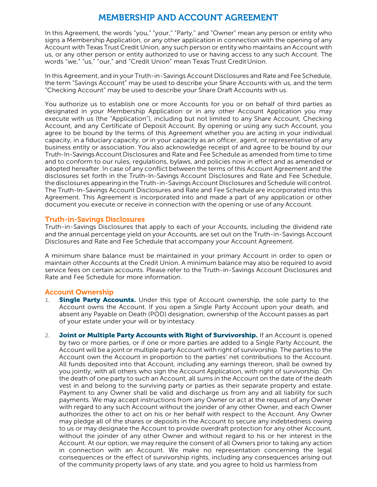## MEMBERSHIP AND ACCOUNT AGREEMENT

In this Agreement, the words "you," "your," "Party," and "Owner" mean any person or entity who signs a Membership Application, or any other application in connection with the opening of any Account with Texas Trust Credit Union, any such person or entity who maintains an Account with us, or any other person or entity authorized to use or having access to any such Account. The words "we," "us," "our," and "Credit Union" mean Texas Trust CreditUnion.

In this Agreement, and in your Truth-in-Savings Account Disclosures and Rate and Fee Schedule, the term "Savings Account" may be used to describe your Share Accounts with us, and the term "Checking Account" may be used to describe your Share Draft Accounts with us.

You authorize us to establish one or more Accounts for you or on behalf of third parties as designated in your Membership Application or in any other Account Application you may execute with us (the "Application"), including but not limited to any Share Account, Checking Account, and any Certificate of Deposit Account. By opening or using any such Account, you agree to be bound by the terms of this Agreement whether you are acting in your individual capacity, in a fiduciary capacity, or in your capacity as an officer, agent, or representative of any business entity or association. You also acknowledge receipt of and agree to be bound by our Truth-In-Savings Account Disclosures and Rate and Fee Schedule as amended from time to time and to conform to our rules, regulations, bylaws, and policies now in effect and as amended or adopted hereafter. In case of any conflict between the terms of this Account Agreement and the disclosures set forth in the Truth-In-Savings Account Disclosures and Rate and Fee Schedule, the disclosures appearing in the Truth-in-Savings Account Disclosures and Schedule will control. The Truth-In-Savings Account Disclosures and Rate and Fee Schedule are incorporated into this Agreement. This Agreement is incorporated into and made a part of any application or other document you execute or receive in connection with the opening or use of any Account.

#### Truth-in-Savings Disclosures

Truth-in-Savings Disclosures that apply to each of your Accounts, including the dividend rate and the annual percentage yield on your Accounts, are set out on the Truth-in-Savings Account Disclosures and Rate and Fee Schedule that accompany your Account Agreement.

A minimum share balance must be maintained in your primary Account in order to open or maintain other Accounts at the Credit Union. A minimum balance may also be required to avoid service fees on certain accounts. Please refer to the Truth-in-Savings Account Disclosures and Rate and Fee Schedule for more information.

#### <span id="page-5-0"></span>Account Ownership

- 1. **Single Party Accounts.** Under this type of Account ownership, the sole party to the Account owns the Account. If you open a Single Party Account upon your death, and absent any Payable on Death (POD) designation, ownership of the Account passes as part of your estate under your will or by intestacy.
- <span id="page-5-1"></span>2. Joint or Multiple Party Accounts with Right of Survivorship. If an Account is opened by two or more parties, or if one or more parties are added to a Single Party Account, the Account will be a joint or multiple party Account with right of survivorship. The parties to the Account own the Account in proportion to the parties' net contributions to the Account. All funds deposited into that Account, including any earnings thereon, shall be owned by you jointly, with all others who sign the Account Application, with right of survivorship. On the death of one party to such an Account, all sums in the Account on the date of the death vest in and belong to the surviving party or parties as their separate property and estate. Payment to any Owner shall be valid and discharge us from any and all liability for such payments. We may accept instructions from any Owner or act at the request of any Owner with regard to any such Account without the joinder of any other Owner, and each Owner authorizes the other to act on his or her behalf with respect to the Account. Any Owner may pledge all of the shares or deposits in the Account to secure any indebtedness owing to us or may designate the Account to provide overdraft protection for any other Account, without the joinder of any other Owner and without regard to his or her interest in the Account. At our option, we may require the consent of all Owners prior to taking any action in connection with an Account. We make no representation concerning the legal consequences or the effect of survivorship rights, including any consequences arising out of the community property laws of any state, and you agree to hold us harmless from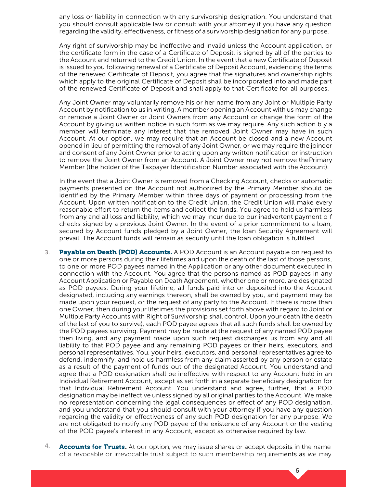any loss or liability in connection with any survivorship designation. You understand that you should consult applicable law or consult with your attorney if you have any question regarding the validity, effectiveness, or fitness of a survivorship designation for any purpose.

Any right of survivorship may be ineffective and invalid unless the Account application, or the certificate form in the case of a Certificate of Deposit, is signed by all of the parties to the Account and returned to the Credit Union. In the event that a new Certificate of Deposit is issued to you following renewal of a Certificate of Deposit Account, evidencing the terms of the renewed Certificate of Deposit, you agree that the signatures and ownership rights which apply to the original Certificate of Deposit shall be incorporated into and made part of the renewed Certificate of Deposit and shall apply to that Certificate for all purposes.

Any Joint Owner may voluntarily remove his or her name from any Joint or Multiple Party Account by notification to us in writing. A member opening an Account with us may change or remove a Joint Owner or Joint Owners from any Account or change the form of the Account by giving us written notice in such form as we may require. Any such action b y a member will terminate any interest that the removed Joint Owner may have in such Account. At our option, we may require that an Account be closed and a new Account opened in lieu of permitting the removal of any Joint Owner, or we may require the joinder and consent of any Joint Owner prior to acting upon any written notification or instruction to remove the Joint Owner from an Account. A Joint Owner may not remove thePrimary Member (the holder of the Taxpayer Identification Number associated with the Account).

In the event that a Joint Owner is removed from a Checking Account, checks or automatic payments presented on the Account not authorized by the Primary Member should be identified by the Primary Member within three days of payment or processing from the Account. Upon written notification to the Credit Union, the Credit Union will make every reasonable effort to return the items and collect the funds. You agree to hold us harmless from any and all loss and liability, which we may incur due to our inadvertent payment o f checks signed by a previous Joint Owner. In the event of a prior commitment to a loan, secured by Account funds pledged by a Joint Owner, the loan Security Agreement will prevail. The Account funds will remain as security until the loan obligation is fulfilled.

- 3. Payable on Death (POD) Accounts. A POD Account is an Account payable on request to one or more persons during their lifetimes and upon the death of the last of those persons, to one or more POD payees named in the Application or any other document executed in connection with the Account. You agree that the persons named as POD payees in any Account Application or Payable on Death Agreement, whether one or more, are designated as POD payees. During your lifetime, all funds paid into or deposited into the Account designated, including any earnings thereon, shall be owned by you, and payment may be made upon your request, or the request of any party to the Account. If there is more than one Owner, then during your lifetimes the provisions set forth above with regard to Joint or Multiple Party Accounts with Right of Survivorship shall control. Upon your death (the death of the last of you to survive), each POD payee agrees that all such funds shall be owned by the POD payees surviving. Payment may be made at the request of any named POD payee then living, and any payment made upon such request discharges us from any and all liability to that POD payee and any remaining POD payees or their heirs, executors, and personal representatives. You, your heirs, executors, and personal representatives agree to defend, indemnify, and hold us harmless from any claim asserted by any person or estate as a result of the payment of funds out of the designated Account. You understand and agree that a POD designation shall be ineffective with respect to any Account held in an Individual Retirement Account, except as set forth in a separate beneficiary designation for that Individual Retirement Account. You understand and agree, further, that a POD designation may be ineffective unless signed by all original parties to the Account. We make no representation concerning the legal consequences or effect of any POD designation, and you understand that you should consult with your attorney if you have any question regarding the validity or effectiveness of any such POD designation for any purpose. We are not obligated to notify any POD payee of the existence of any Account or the vesting of the POD payee's interest in any Account, except as otherwise required by law.
- 4. Accounts for Trusts. At our option, we may issue shares or accept deposits in the name of a revocable or irrevocable trust subject to such membership requirements as we may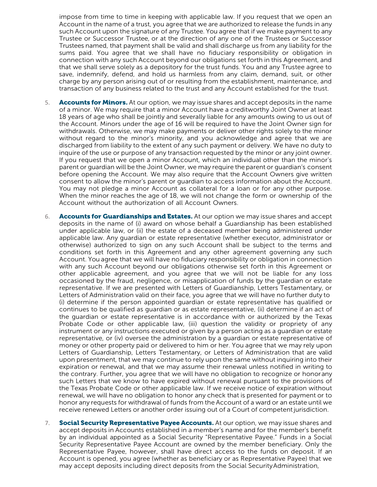impose from time to time in keeping with applicable law. If you request that we open an Account in the name of a trust, you agree that we are authorized to release the funds in any such Account upon the signature of any Trustee. You agree that if we make payment to any Trustee or Successor Trustee, or at the direction of any one of the Trustees or Successor Trustees named, that payment shall be valid and shall discharge us from any liability for the sums paid. You agree that we shall have no fiduciary responsibility or obligation in connection with any such Account beyond our obligations set forth in this Agreement, and that we shall serve solely as a depository for the trust funds. You and any Trustee agree to save, indemnify, defend, and hold us harmless from any claim, demand, suit, or other charge by any person arising out of or resulting from the establishment, maintenance, and transaction of any business related to the trust and any Account established for the trust.

- 5. **Accounts for Minors.** At our option, we may issue shares and accept deposits in the name of a minor. We may require that a minor Account have a creditworthy Joint Owner at least 18 years of age who shall be jointly and severally liable for any amounts owing to us out of the Account. Minors under the age of 16 will be required to have the Joint Owner sign for withdrawals. Otherwise, we may make payments or deliver other rights solely to the minor without regard to the minor's minority, and you acknowledge and agree that we are discharged from liability to the extent of any such payment or delivery. We have no duty to inquire of the use or purpose of any transaction requested by the minor or any joint owner. If you request that we open a minor Account, which an individual other than the minor's parent or guardian will be the Joint Owner, we may require the parent or guardian's consent before opening the Account. We may also require that the Account Owners give written consent to allow the minor's parent or guardian to access information about the Account. You may not pledge a minor Account as collateral for a loan or for any other purpose. When the minor reaches the age of 18, we will not change the form or ownership of the Account without the authorization of all Account Owners.
- 6. Accounts for Guardianships and Estates. At our option we may issue shares and accept deposits in the name of (i) award on whose behalf a Guardianship has been established under applicable law, or (ii) the estate of a deceased member being administered under applicable law. Any guardian or estate representative (whether executor, administrator or otherwise) authorized to sign on any such Account shall be subject to the terms and conditions set forth in this Agreement and any other agreement governing any such Account. You agree that we will have no fiduciary responsibility or obligation in connection with any such Account beyond our obligations otherwise set forth in this Agreement or other applicable agreement, and you agree that we will not be liable for any loss occasioned by the fraud, negligence, or misapplication of funds by the guardian or estate representative. If we are presented with Letters of Guardianship, Letters Testamentary, or Letters of Administration valid on their face, you agree that we will have no further duty to (i) determine if the person appointed guardian or estate representative has qualified or continues to be qualified as guardian or as estate representative, (ii) determine if an act of the guardian or estate representative is in accordance with or authorized by the Texas Probate Code or other applicable law, (iii) question the validity or propriety of any instrument or any instructions executed or given by a person acting as a guardian or estate representative, or (iv) oversee the administration by a guardian or estate representative of money or other property paid or delivered to him or her. You agree that we may rely upon Letters of Guardianship, Letters Testamentary, or Letters of Administration that are valid upon presentment, that we may continue to rely upon the same without inquiring into their expiration or renewal, and that we may assume their renewal unless notified in writing to the contrary. Further, you agree that we will have no obligation to recognize or honorany such Letters that we know to have expired without renewal pursuant to the provisions of the Texas Probate Code or other applicable law. If we receive notice of expiration without renewal, we will have no obligation to honor any check that is presented for payment or to honor any requests for withdrawal of funds from the Account of a ward or an estate until we receive renewed Letters or another order issuing out of a Court of competentjurisdiction.
- 7. Social Security Representative Payee Accounts. At our option, we may issue shares and accept deposits in Accounts established in a member's name and for the member's benefit by an individual appointed as a Social Security "Representative Payee." Funds in a Social Security Representative Payee Account are owned by the member beneficiary. Only the Representative Payee, however, shall have direct access to the funds on deposit. If an Account is opened, you agree (whether as beneficiary or as Representative Payee) that we may accept deposits including direct deposits from the Social SecurityAdministration,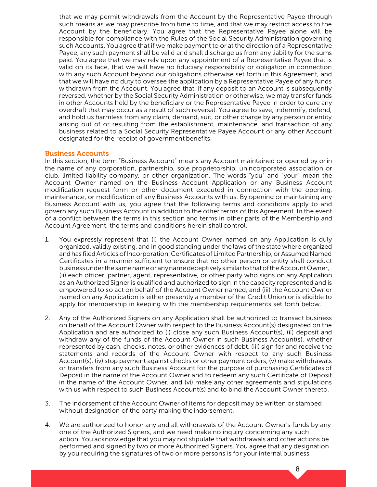that we may permit withdrawals from the Account by the Representative Payee through such means as we may prescribe from time to time, and that we may restrict access to the Account by the beneficiary. You agree that the Representative Payee alone will be responsible for compliance with the Rules of the Social Security Administration governing such Accounts. You agree that if we make payment to or at the direction of a Representative Payee, any such payment shall be valid and shall discharge us from any liability for the sums paid. You agree that we may rely upon any appointment of a Representative Payee that is valid on its face, that we will have no fiduciary responsibility or obligation in connection with any such Account beyond our obligations otherwise set forth in this Agreement, and that we will have no duty to oversee the application by a Representative Payee of any funds withdrawn from the Account. You agree that, if any deposit to an Account is subsequently reversed, whether by the Social Security Administration or otherwise, we may transfer funds in other Accounts held by the beneficiary or the Representative Payee in order to cure any overdraft that may occur as a result of such reversal. You agree to save, indemnify, defend, and hold us harmless from any claim, demand, suit, or other charge by any person or entity arising out of or resulting from the establishment, maintenance, and transaction of any business related to a Social Security Representative Payee Account or any other Account designated for the receipt of government benefits.

#### Business Accounts

In this section, the term "Business Account" means any Account maintained or opened by orin the name of any corporation, partnership, sole proprietorship, unincorporated association or club, limited liability company, or other organization. The words "you" and "your" mean the Account Owner named on the Business Account Application or any Business Account modification request form or other document executed in connection with the opening, maintenance, or modification of any Business Accounts with us. By opening or maintaining any Business Account with us, you agree that the following terms and conditions apply to and govern any such Business Account in addition to the other terms of this Agreement. In the event of a conflict between the terms in this section and terms in other parts of the Membership and Account Agreement, the terms and conditions herein shall control.

- <span id="page-8-0"></span>1. You expressly represent that (i) the Account Owner named on any Application is duly organized, validly existing, and in good standing under the laws of the state where organized and has filed Articles of Incorporation, Certificates of Limited Partnership, or Assumed Named Certificates in a manner sufficient to ensure that no other person or entity shall conduct businessunderthesamenameor anynamedeceptivelysimilartothatoftheAccountOwner, (ii) each officer, partner, agent, representative, or other party who signs on any Application as an Authorized Signer is qualified and authorized to sign in the capacity represented and is empowered to so act on behalf of the Account Owner named, and (iii) the Account Owner named on any Application is either presently a member of the Credit Union or is eligible to apply for membership in keeping with the membership requirements set forth below.
- 2. Any of the Authorized Signers on any Application shall be authorized to transact business on behalf of the Account Owner with respect to the Business Account(s) designated on the Application and are authorized to (i) close any such Business Account(s), (ii) deposit and withdraw any of the funds of the Account Owner in such Business Account(s), whether represented by cash, checks, notes, or other evidences of debt, (iii) sign for and receive the statements and records of the Account Owner with respect to any such Business Account(s), (iv) stop payment against checks or other payment orders, (v) make withdrawals or transfers from any such Business Account for the purpose of purchasing Certificates of Deposit in the name of the Account Owner and to redeem any such Certificate of Deposit in the name of the Account Owner, and (vi) make any other agreements and stipulations with us with respect to such Business Account(s) and to bind the Account Owner thereto.
- 3. The indorsement of the Account Owner of items for deposit may be written or stamped without designation of the party making the indorsement.
- 4. We are authorized to honor any and all withdrawals of the Account Owner's funds by any one of the Authorized Signers, and we need make no inquiry concerning any such action. You acknowledge that you may not stipulate that withdrawals and other actions be performed and signed by two or more Authorized Signers. You agree that any designation by you requiring the signatures of two or more persons is for your internal business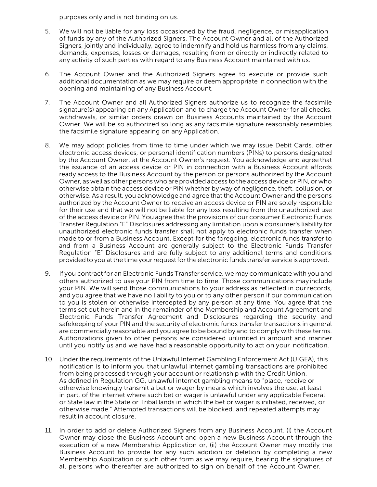purposes only and is not binding on us.

- 5. We will not be liable for any loss occasioned by the fraud, negligence, or misapplication of funds by any of the Authorized Signers. The Account Owner and all of the Authorized Signers, jointly and individually, agree to indemnify and hold us harmless from any claims, demands, expenses, losses or damages, resulting from or directly or indirectly related to any activity of such parties with regard to any Business Account maintained with us.
- 6. The Account Owner and the Authorized Signers agree to execute or provide such additional documentation as we may require or deem appropriate in connection with the opening and maintaining of any Business Account.
- 7. The Account Owner and all Authorized Signers authorize us to recognize the facsimile signature(s) appearing on any Application and to charge the Account Owner for all checks, withdrawals, or similar orders drawn on Business Accounts maintained by the Account Owner. We will be so authorized so long as any facsimile signature reasonably resembles the facsimile signature appearing on any Application.
- 8. We may adopt policies from time to time under which we may issue Debit Cards, other electronic access devices, or personal identification numbers (PINs) to persons designated by the Account Owner, at the Account Owner's request. You acknowledge and agree that the issuance of an access device or PIN in connection with a Business Account affords ready access to the Business Account by the person or persons authorized by the Account Owner, as well as other persons who are provided access to the access device or PIN, or who otherwise obtain the access device or PIN whether by way of negligence, theft, collusion, or otherwise. As a result, you acknowledge and agree that the Account Owner and the persons authorized by the Account Owner to receive an access device or PIN are solely responsible for their use and that we will not be liable for any loss resulting from the unauthorized use of the access device or PIN. You agree that the provisions of our consumer Electronic Funds Transfer Regulation "E" Disclosures addressing any limitation upon a consumer's liability for unauthorized electronic funds transfer shall not apply to electronic funds transfer when made to or from a Business Account. Except for the foregoing, electronic funds transfer to and from a Business Account are generally subject to the Electronic Funds Transfer Regulation "E" Disclosures and are fully subject to any additional terms and conditions provided to you at the time your request for the electronic funds transfer service is approved.
- 9. If you contract for an Electronic Funds Transfer service, we may communicate with you and others authorized to use your PIN from time to time. Those communications may include your PIN. We will send those communications to your address as reflected in our records, and you agree that we have no liability to you or to any other person if our communication to you is stolen or otherwise intercepted by any person at any time. You agree that the terms set out herein and in the remainder of the Membership and Account Agreement and Electronic Funds Transfer Agreement and Disclosures regarding the security and safekeeping of your PIN and the security of electronic funds transfer transactions in general are commercially reasonable and you agree to be bound by and to comply with these terms. Authorizations given to other persons are considered unlimited in amount and manner until you notify us and we have had a reasonable opportunity to act on your notification.
- 10. Under the requirements of the Unlawful Internet Gambling Enforcement Act (UIGEA), this notification is to inform you that unlawful internet gambling transactions are prohibited from being processed through your account or relationship with the Credit Union. As defined in Regulation GG, unlawful internet gambling means to "place, receive or otherwise knowingly transmit a bet or wager by means which involves the use, at least in part, of the internet where such bet or wager is unlawful under any applicable Federal or State law in the State or Tribal lands in which the bet or wager is initiated, received, or otherwise made." Attempted transactions will be blocked, and repeated attempts may result in account closure.
- 11. In order to add or delete Authorized Signers from any Business Account, (i) the Account Owner may close the Business Account and open a new Business Account through the execution of a new Membership Application or, (ii) the Account Owner may modify the Business Account to provide for any such addition or deletion by completing a new Membership Application or such other form as we may require, bearing the signatures of all persons who thereafter are authorized to sign on behalf of the Account Owner.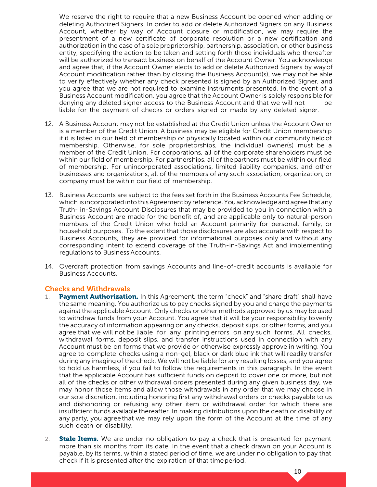We reserve the right to require that a new Business Account be opened when adding or deleting Authorized Signers. In order to add or delete Authorized Signers on any Business Account, whether by way of Account closure or modification, we may require the presentment of a new certificate of corporate resolution or a new certification and authorization in the case of a sole proprietorship, partnership, association, or other business entity, specifying the action to be taken and setting forth those individuals who thereafter will be authorized to transact business on behalf of the Account Owner. You acknowledge and agree that, if the Account Owner elects to add or delete Authorized Signers by wayof Account modification rather than by closing the Business Account(s), we may not be able to verify effectively whether any check presented is signed by an Authorized Signer, and you agree that we are not required to examine instruments presented. In the event of a Business Account modification, you agree that the Account Owner is solely responsible for denying any deleted signer access to the Business Account and that we will not be liable for the payment of checks or orders signed or made by any deleted signer.

- 12. A Business Account may not be established at the Credit Union unless the Account Owner is a member of the Credit Union. A business may be eligible for Credit Union membership if it is listed in our field of membership or physically located within our community fieldof membership. Otherwise, for sole proprietorships, the individual owner(s) must be a member of the Credit Union. For corporations, all of the corporate shareholders must be within our field of membership. For partnerships, all of thepartners must be within our field of membership. For unincorporated associations, limited liability companies, and other businesses and organizations, all of the members of any such association, organization, or company must be within our field of membership.
- 13. Business Accounts are subject to the fees set forth in the Business Accounts Fee Schedule, which is incorporated into this Agreement by reference. You acknowledge and agree that any Truth- in-Savings Account Disclosures that may be provided to you in connection with a Business Account are made for the benefit of, and are applicable only to natural-person members of the Credit Union who hold an Account primarily for personal, family, or household purposes. To the extent that those disclosures are also accurate with respect to Business Accounts, they are provided for informational purposes only and without any corresponding intent to extend coverage of the Truth-in-Savings Act and implementing regulations to Business Accounts.
- 14. Overdraft protection from savings Accounts and line-of-credit accounts is available for Business Accounts.

#### Checks and Withdrawals

- <span id="page-10-0"></span>1. Payment Authorization. In this Agreement, the term "check" and "share draft" shall have the same meaning. You authorize us to pay checks signed by you and charge the payments against the applicable Account. Only checks or other methods approved by us may be used to withdraw funds from your Account. You agree that it will be your responsibility toverify the accuracy of information appearing on any checks, deposit slips, or other forms, and you agree that we will not be liable for any printing errors on any such forms. All checks, withdrawal forms, deposit slips, and transfer instructions used in connection with any Account must be on forms that we provide or otherwise expressly approve in writing. You agree to complete checks using a non-gel, black or dark blue ink that will readily transfer during any imaging of the check. We will not be liable for any resulting losses, and you agree to hold us harmless, if you fail to follow the requirements in this paragraph. In the event that the applicable Account has sufficient funds on deposit to cover one or more, but not all of the checks or other withdrawal orders presented during any given business day, we may honor those items and allow those withdrawals in any order that we may choose in our sole discretion, including honoring first any withdrawal orders or checks payable to us and dishonoring or refusing any other item or withdrawal order for which there are insufficient funds available thereafter. In making distributions upon the death or disability of any party, you agree that we may rely upon the form of the Account at the time of any such death or disability.
- 2. **Stale Items.** We are under no obligation to pay a check that is presented for payment more than six months from its date. In the event that a check drawn on your Account is payable, by its terms, within a stated period of time, we are under no obligation to pay that check if it is presented after the expiration of that timeperiod.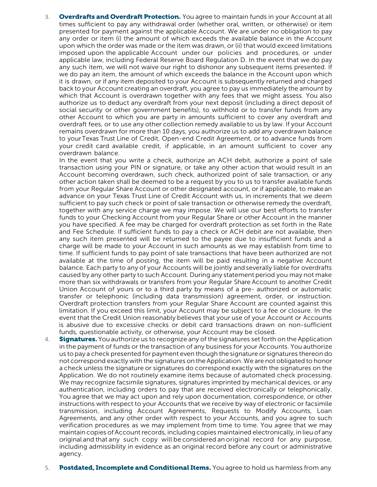3. **Overdrafts and Overdraft Protection.** You agree to maintain funds in your Account at all times sufficient to pay any withdrawal order (whether oral, written, or otherwise) or item presented for payment against the applicable Account. We are under no obligation to pay any order or item (i) the amount of which exceeds the available balance in the Account upon which the order was made or the item was drawn, or (ii) that would exceed limitations imposed upon the applicable Account under our policies and procedures, or under applicable law, including Federal Reserve Board Regulation D. In the event that we do pay any such item, we will not waive our right to dishonor any subsequent items presented. If we do pay an item, the amount of which exceeds the balance in the Account upon which it is drawn, or if any item deposited to your Account is subsequently returned and charged back to your Account creating an overdraft, you agree to pay us immediately the amount by which that Account is overdrawn together with any fees that we might assess. You also authorize us to deduct any overdraft from your next deposit (including a direct deposit of social security or other government benefits), to withhold or to transfer funds from any other Account to which you are party in amounts sufficient to cover any overdraft and overdraft fees, or to use any other collection remedy available to us by law. If your Account remains overdrawn for more than 10 days, you authorize us to add any overdrawn balance to yourTexas Trust Line of Credit, Open-end Credit Agreement, or to advance funds from your credit card available credit, if applicable, in an amount sufficient to cover any overdrawn balance.

In the event that you write a check, authorize an ACH debit, authorize a point of sale transaction using your PIN or signature, or take any other action that would result in an Account becoming overdrawn, such check, authorized point of sale transaction, or any other action taken shall be deemed to be a request by you to us to transfer available funds from your Regular Share Account or other designated account, or if applicable, to make an advance on your Texas Trust Line of Credit Account with us, in increments that we deem sufficient to pay such check or point of sale transaction or otherwise remedy the overdraft, together with any service charge we may impose. We will use our best efforts to transfer funds to your Checking Account from your Regular Share or other Account in the manner you have specified. A fee may be charged for overdraft protection as set forth in the Rate and Fee Schedule. If sufficient funds to pay a check or ACH debit are not available, then any such item presented will be returned to the payee due to insufficient funds and a charge will be made to your Account in such amounts as we may establish from time to time. If sufficient funds to pay point of sale transactions that have been authorized are not available at the time of posting, the item will be paid resulting in a negative Account balance. Each party to any of your Accounts will be jointly and severally liable for overdrafts caused by any other party to such Account. During any statement period you may not make more than six withdrawals or transfers from your Regular Share Account to another Credit Union Account of yours or to a third party by means of a pre- authorized or automatic transfer or telephonic (including data transmission) agreement, order, or instruction. Overdraft protection transfers from your Regular Share Account are counted against this limitation. If you exceed this limit, your Account may be subject to a fee or closure. In the event that the Credit Union reasonably believes that your use of your Account or Accounts is abusive due to excessive checks or debit card transactions drawn on non-sufficient funds, questionable activity, or otherwise, your Account may be closed.

- 4. **Signatures.** You authorize us to recognize any of the signatures set forth on the Application in the payment of funds or the transaction of any business for your Accounts. You authorize us to pay a check presented for payment even though the signature or signatures thereon do not correspond exactly with the signatures on the Application. We are not obligated to honor a check unless the signature or signatures do correspond exactly with the signatures on the Application. We do not routinely examine items because of automated check processing. We may recognize facsimile signatures, signatures imprinted by mechanical devices, or any authentication, including orders to pay that are received electronically or telephonically. You agree that we may act upon and rely upon documentation, correspondence, or other instructions with respect to your Accounts that we receive by way of electronic or facsimile transmission, including Account Agreements, Requests to Modify Accounts, Loan Agreements, and any other order with respect to your Accounts, and you agree to such verification procedures as we may implement from time to time. You agree that we may maintain copies of Accountrecords, including copies maintained electronically, in lieu of any original and that any such copy will be considered an original record for any purpose, including admissibility in evidence as an original record before any court or administrative agency.
- 5. Postdated, Incomplete and Conditional Items. You agree to hold us harmless from any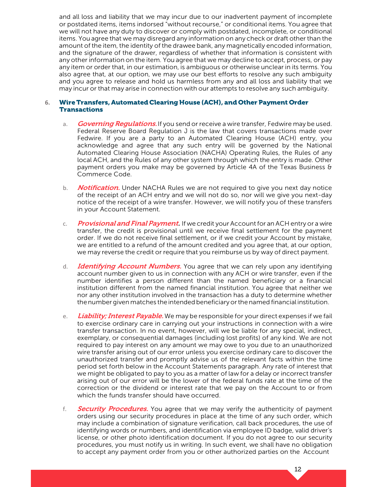and all loss and liability that we may incur due to our inadvertent payment of incomplete or postdated items, items indorsed "without recourse," or conditional items. You agree that we will not have any duty to discover or comply with postdated, incomplete, or conditional items. You agree that we may disregard any information on any check or draft other than the amount of the item, the identity of the drawee bank, any magnetically encoded information, and the signature of the drawer, regardless of whether that information is consistent with any other information on the item. You agree that we may decline to accept, process, or pay any item or order that, in our estimation, is ambiguous or otherwise unclear in its terms. You also agree that, at our option, we may use our best efforts to resolve any such ambiguity and you agree to release and hold us harmless from any and all loss and liability that we may incur or that may arise in connection with our attempts to resolve any such ambiguity.

#### **6.** WireTransfers,Automated Clearing House (ACH), and Other Payment Order **Transactions**

- a. Governing Regulations. If you send or receive a wire transfer, Fedwire may be used. Federal Reserve Board Regulation J is the law that covers transactions made over Fedwire. If you are a party to an Automated Clearing House (ACH) entry, you acknowledge and agree that any such entry will be governed by the National Automated Clearing House Association (NACHA) Operating Rules, the Rules of any local ACH, and the Rules of any other system through which the entry is made. Other payment orders you make may be governed by Article 4A of the Texas Business & Commerce Code.
- b. Notification. Under NACHA Rules we are not required to give you next day notice of the receipt of an ACH entry and we will not do so, nor will we give you next-day notice of the receipt of a wire transfer. However, we will notify you of these transfers in your Account Statement.
- c. Provisional and Final Payment. If we credit your Account for an ACH entry or a wire transfer, the credit is provisional until we receive final settlement for the payment order. If we do not receive final settlement, or if we credit your Account by mistake, we are entitled to a refund of the amount credited and you agree that, at our option, we may reverse the credit or require that you reimburse us by way of direct payment.
- d. Identifying Account Numbers. You agree that we can rely upon any identifying account number given to us in connection with any ACH or wire transfer, even if the number identifies a person different than the named beneficiary or a financial institution different from the named financial institution. You agree that neither we nor any other institution involved in the transaction has a duty to determine whether the number given matches the intended beneficiary or the named financial institution.
- e. Liability; Interest Payable. We may be responsible for your direct expenses if we fail to exercise ordinary care in carrying out your instructions in connection with a wire transfer transaction. In no event, however, will we be liable for any special, indirect, exemplary, or consequential damages (including lost profits) of any kind. We are not required to pay interest on any amount we may owe to you due to an unauthorized wire transfer arising out of our error unless you exercise ordinary care to discover the unauthorized transfer and promptly advise us of the relevant facts within the time period set forth below in the Account Statements paragraph. Any rate of interest that we might be obligated to pay to you as a matter of law for a delay or incorrect transfer arising out of our error will be the lower of the federal funds rate at the time of the correction or the dividend or interest rate that we pay on the Account to or from which the funds transfer should have occurred.
- f. Security Procedures. You agree that we may verify the authenticity of payment orders using our security procedures in place at the time of any such order, which may include a combination of signature verification, call back procedures, the use of identifying words or numbers, and identification via employee ID badge, valid driver's license, or other photo identification document. If you do not agree to our security procedures, you must notify us in writing. In such event, we shall have no obligation to accept any payment order from you or other authorized parties on the Account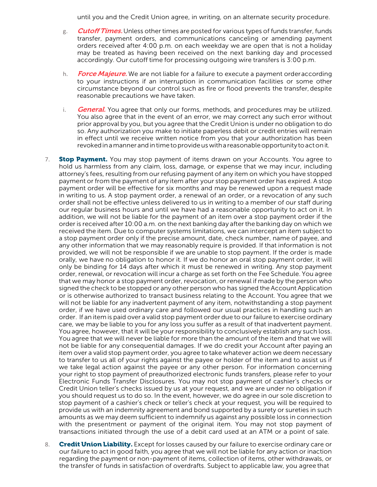until you and the Credit Union agree, in writing, on an alternate security procedure.

- g. **Cutoff Times.** Unless other times are posted for various types of funds transfer, funds transfer, payment orders, and communications canceling or amending payment orders received after 4:00 p.m. on each weekday we are open that is not a holiday may be treated as having been received on the next banking day and processed accordingly. Our cutoff time for processing outgoing wire transfers is 3:00 p.m.
- h. Force Majeure. We are not liable for a failure to execute a payment orderaccording to your instructions if an interruption in communication facilities or some other circumstance beyond our control such as fire or flood prevents the transfer, despite reasonable precautions we have taken.
- i. General. You agree that only our forms, methods, and procedures may be utilized. You also agree that in the event of an error, we may correct any such error without prior approval by you, but you agree that the Credit Union is under no obligation to do so. Any authorization you make to initiate paperless debit or credit entries will remain in effect until we receive written notice from you that your authorization has been revoked in a manner and in time to provide us with a reasonable opportunity to act on it.
- 7. **Stop Payment.** You may stop payment of items drawn on your Accounts. You agree to hold us harmless from any claim, loss, damage, or expense that we may incur, including attorney's fees, resulting from our refusing payment of any item on which you have stopped payment or from the payment of any item after your stop payment order has expired. A stop payment order will be effective for six months and may be renewed upon a request made in writing to us. A stop payment order, a renewal of an order, or a revocation of any such order shall not be effective unless delivered to us in writing to a member of our staff during our regular business hours and until we have had a reasonable opportunity to act on it. In addition, we will not be liable for the payment of an item over a stop payment order if the order is received after 10:00 a.m. on the next banking day after the banking day on which we received the item. Due to computer systems limitations, we can intercept an item subject to a stop payment order only if the precise amount, date, check number, name of payee, and any other information that we may reasonably require is provided. If that information is not provided, we will not be responsible if we are unable to stop payment. If the order is made orally, we have no obligation to honor it. If we do honor an oral stop payment order, it will only be binding for 14 days after which it must be renewed in writing. Any stop payment order, renewal, or revocation will incur a charge as set forth on the Fee Schedule. You agree that we may honor a stop payment order, revocation, or renewal if made by the person who signed the check to be stopped or any other person who has signed the Account Application or is otherwise authorized to transact business relating to the Account. You agree that we will not be liable for any inadvertent payment of any item, notwithstanding a stop payment order, if we have used ordinary care and followed our usual practices in handling such an order. If an item is paid over a valid stop payment order due to our failure to exercise ordinary care, we may be liable to you for any loss you suffer as a result of that inadvertent payment. You agree, however, that it will be your responsibility to conclusively establish any such loss. You agree that we will never be liable for more than the amount of the item and that we will not be liable for any consequential damages. If we do credit your Account after paying an item over a valid stop payment order, you agree to take whatever action we deem necessary to transfer to us all of your rights against the payee or holder of the item and to assist us if we take legal action against the payee or any other person. For information concerning your right to stop payment of preauthorized electronic funds transfers, please refer to your Electronic Funds Transfer Disclosures. You may not stop payment of cashier's checks or Credit Union teller's checks issued by us at your request, and we are under no obligation if you should request us to do so. In the event, however, we do agree in our sole discretion to stop payment of a cashier's check or teller's check at your request, you will be required to provide us with an indemnity agreement and bond supported by a surety or sureties in such amounts as we may deem sufficient to indemnify us against any possible loss in connection with the presentment or payment of the original item. You may not stop payment of transactions initiated through the use of a debit card used at an ATM or a point of sale.
- 8. Credit Union Liability. Except for losses caused by our failure to exercise ordinary care or our failure to act in good faith, you agree that we will not be liable for any action or inaction regarding the payment or non-payment of items, collection of items, other withdrawals, or the transfer of funds in satisfaction of overdrafts. Subject to applicable law, you agree that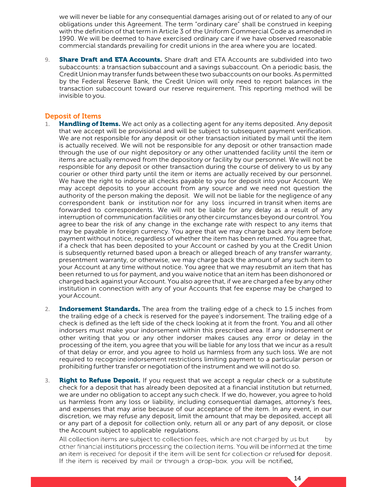we will never be liable for any consequential damages arising out of or related to any of our obligations under this Agreement. The term "ordinary care" shall be construed in keeping with the definition of that term in Article 3 of the Uniform Commercial Code as amended in 1990. We will be deemed to have exercised ordinary care if we have observed reasonable commercial standards prevailing for credit unions in the area where you are located.

9. **Share Draft and ETA Accounts.** Share draft and ETA Accounts are subdivided into two subaccounts: a transaction subaccount and a savings subaccount. On a periodic basis, the CreditUnion may transferfunds between these two subaccounts on our books. As permitted by the Federal Reserve Bank, the Credit Union will only need to report balances in the transaction subaccount toward our reserve requirement. This reporting method will be invisible to you.

#### Deposit of Items

- <span id="page-14-0"></span>1. **Handling of Items.** We act only as a collecting agent for any items deposited. Any deposit that we accept will be provisional and will be subject to subsequent payment verification. We are not responsible for any deposit or other transaction initiated by mail until the item is actually received. We will not be responsible for any deposit or other transaction made through the use of our night depository or any other unattended facility until the item or items are actually removed from the depository or facility by our personnel. We will not be responsible for any deposit or other transaction during the course of delivery to us by any courier or other third party until the item or items are actually received by our personnel. We have the right to indorse all checks payable to you for deposit into your Account. We may accept deposits to your account from any source and we need not question the authority of the person making the deposit. We will not be liable for the negligence of any correspondent bank or institution nor for any loss incurred in transit when items are forwarded to correspondents. We will not be liable for any delay as a result of any interruption of communicationfacilitiesor anyother circumstancesbeyondour control.You agree to bear the risk of any change in the exchange rate with respect to any items that may be payable in foreign currency. You agree that we may charge back any item before payment without notice, regardless of whether the item has been returned. You agree that, if a check that has been deposited to your Account or cashed by you at the Credit Union is subsequently returned based upon a breach or alleged breach of any transfer warranty, presentment warranty, or otherwise, we may charge back the amount of any such item to your Account at any time without notice. You agree that we may resubmit an item that has been returned to us for payment, and you waive notice that an item has been dishonored or charged back against your Account. You also agree that, if we are charged a fee by any other institution in connection with any of your Accounts that fee expense may be charged to yourAccount.
- 2. **Indorsement Standards.** The area from the trailing edge of a check to 1.5 inches from the trailing edge of a check is reserved for the payee's indorsement. The trailing edge of a check is defined as the left side of the check looking at it from the front. You and all other indorsers must make your indorsement within this prescribed area. If any indorsement or other writing that you or any other indorser makes causes any error or delay in the processing of the item, you agree that you will be liable for any loss that we incur as a result of that delay or error, and you agree to hold us harmless from any such loss. We are not required to recognize indorsement restrictions limiting payment to a particular person or prohibiting further transfer or negotiation of the instrument and we will not do so.
- 3. **Right to Refuse Deposit.** If you request that we accept a regular check or a substitute check for a deposit that has already been deposited at a financial institution but returned, we are under no obligation to accept any such check. If we do, however, you agree to hold us harmless from any loss or liability, including consequential damages, attorney's fees, and expenses that may arise because of our acceptance of the item. In any event, in our discretion, we may refuse any deposit, limit the amount that may be deposited, accept all or any part of a deposit for collection only, return all or any part of any deposit, or close the Account subject to applicable regulations.

All collection items are subject to collection fees, which are not charged by us but by other financial institutions processing the collection items. You will be informed at the time an item is received for deposit if the item will be sent for collection or refused for deposit. If the item is received by mail or through a drop-box, you will be notified,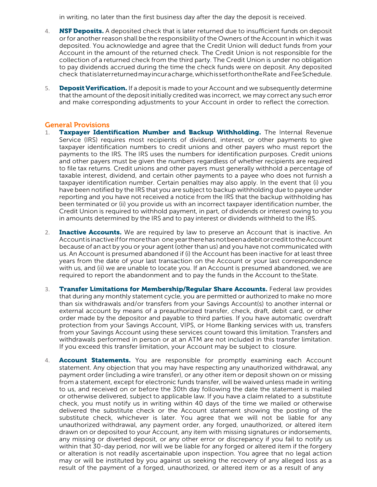in writing, no later than the first business day after the day the deposit is received.

- 4. **NSF Deposits.** A deposited check that is later returned due to insufficient funds on deposit or for another reason shall be the responsibility of the Owners of the Account in which it was deposited. You acknowledge and agree that the Credit Union will deduct funds from your Account in the amount of the returned check. The Credit Union is not responsible for the collection of a returned check from the third party. The Credit Union is under no obligation to pay dividends accrued during the time the check funds were on deposit. Any deposited check thatislaterreturnedmayincuracharge,whichissetforthontheRate andFeeSchedule.
- 5. Deposit Verification. If a deposit is made to your Account and we subsequently determine thatthe amount of the deposit initially credited was incorrect, we may correct any such error and make corresponding adjustments to your Account in order to reflect the correction.

#### General Provisions

- 1. Taxpayer Identification Number and Backup Withholding. The Internal Revenue Service (IRS) requires most recipients of dividend, interest, or other payments to give taxpayer identification numbers to credit unions and other payers who must report the payments to the IRS. The IRS uses the numbers for identification purposes. Credit unions and other payers must be given the numbers regardless of whether recipients are required to file tax returns. Credit unions and other payers must generally withhold a percentage of taxable interest, dividend, and certain other payments to a payee who does not furnish a taxpayer identification number. Certain penalties may also apply. In the event that (i) you have been notified by the IRS that you are subject to backup withholding due to payee under reporting and you have not received a notice from the IRS that the backup withholding has been terminated or (ii) you provide us with an incorrect taxpayer identification number, the Credit Union is required to withhold payment, in part, of dividends or interest owing to you in amounts determined by the IRS and to pay interest or dividends withheld to the IRS.
- <span id="page-15-0"></span>2. **Inactive Accounts.** We are required by law to preserve an Account that is inactive. An Accountisinactiveiffor morethan one yeartherehasnotbeenadebitorcredittotheAccount because of an act by you or your agent (other than us) and you have not communicated with us. An Account is presumed abandoned if (i) the Account has been inactive for at least three years from the date of your last transaction on the Account or your last correspondence with us, and (ii) we are unable to locate you. If an Account is presumed abandoned, we are required to report the abandonment and to pay the funds in the Account to theState.
- 3. Transfer Limitations for Membership/Regular Share Accounts. Federal law provides that during any monthly statement cycle, you are permitted or authorized to make no more than six withdrawals and/or transfers from your Savings Account(s) to another internal or external account by means of a preauthorized transfer, check, draft, debit card, or other order made by the depositor and payable to third parties. If you have automatic overdraft protection from your Savings Account, VIPS, or Home Banking services with us, transfers from your Savings Account using these services count toward this limitation. Transfers and withdrawals performed in person or at an ATM are not included in this transfer limitation. If you exceed this transfer limitation, your Account may be subject to closure.
- 4. **Account Statements.** You are responsible for promptly examining each Account statement. Any objection that you may have respecting any unauthorized withdrawal, any payment order (including a wire transfer), or any other item or deposit shown on or missing from a statement, except for electronic funds transfer, will be waived unless made in writing to us, and received on or before the 30th day following the date the statement is mailed or otherwise delivered, subject to applicable law. If you have a claim related to a substitute check, you must notify us in writing within 40 days of the time we mailed or otherwise delivered the substitute check or the Account statement showing the posting of the substitute check, whichever is later. You agree that we will not be liable for any unauthorized withdrawal, any payment order, any forged, unauthorized, or altered item drawn on or deposited to your Account, any item with missing signatures or indorsements, any missing or diverted deposit, or any other error or discrepancy if you fail to notify us within that 30-day period, nor will we be liable for any forged or altered item if the forgery or alteration is not readily ascertainable upon inspection. You agree that no legal action may or will be instituted by you against us seeking the recovery of any alleged loss as a result of the payment of a forged, unauthorized, or altered item or as a result of any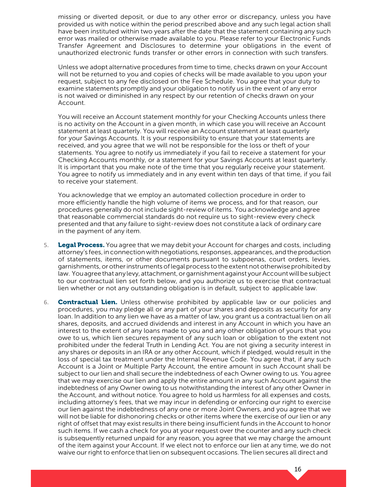missing or diverted deposit, or due to any other error or discrepancy, unless you have provided us with notice within the period prescribed above and any such legal action shall have been instituted within two years after the date that the statement containing any such error was mailed or otherwise made available to you. Please refer to your Electronic Funds Transfer Agreement and Disclosures to determine your obligations in the event of unauthorized electronic funds transfer or other errors in connection with such transfers.

Unless we adopt alternative procedures from time to time, checks drawn on your Account will not be returned to you and copies of checks will be made available to you upon your request, subject to any fee disclosed on the Fee Schedule. You agree that your duty to examine statements promptly and your obligation to notify us in the event of any error is not waived or diminished in any respect by our retention of checks drawn on your Account.

You will receive an Account statement monthly for your Checking Accounts unless there is no activity on the Account in a given month, in which case you will receive an Account statement at least quarterly. You will receive an Account statement at least quarterly for your Savings Accounts. It is your responsibility to ensure that your statements are received, and you agree that we will not be responsible for the loss or theft of your statements. You agree to notify us immediately if you fail to receive a statement for your Checking Accounts monthly, or a statement for your Savings Accounts at least quarterly. It is important that you make note of the time that you regularly receive your statement. You agree to notify us immediately and in any event within ten days of that time, if you fail to receive your statement.

You acknowledge that we employ an automated collection procedure in order to more efficiently handle the high volume of items we process, and for that reason, our procedures generally do not include sight-review of items. You acknowledge and agree that reasonable commercial standards do not require us to sight-review every check presented and that any failure to sight-review does not constitute a lack of ordinary care in the payment of any item.

- 5. **Legal Process.** You agree that we may debit your Account for charges and costs, including attorney's fees, inconnection withnegotiations,responses, appearances, and theproduction of statements, items, or other documents pursuant to subpoenas, court orders, levies, garnishments, or other instruments of legal process to the extent not otherwise prohibited by law. You agree that any levy, attachment, or garnishment against your Account will be subject to our contractual lien set forth below, and you authorize us to exercise that contractual lien whether or not any outstanding obligation is in default, subject to applicable law.
- 6. **Contractual Lien.** Unless otherwise prohibited by applicable law or our policies and procedures, you may pledge all or any part of your shares and deposits as security for any loan. In addition to any lien we have as a matter of law, you grant us a contractual lien on all shares, deposits, and accrued dividends and interest in any Account in which you have an interest to the extent of any loans made to you and any other obligation of yours that you owe to us, which lien secures repayment of any such loan or obligation to the extent not prohibited under the federal Truth in Lending Act. You are not giving a security interest in any shares or deposits in an IRA or any other Account, which if pledged, would result in the loss of special tax treatment under the Internal Revenue Code. You agree that, if any such Account is a Joint or Multiple Party Account, the entire amount in such Account shall be subject to our lien and shall secure the indebtedness of each Owner owing to us. You agree that we may exercise our lien and apply the entire amount in any such Account against the indebtedness of any Owner owing to us notwithstanding the interest of any other Owner in the Account, and without notice. You agree to hold us harmless for all expenses and costs, including attorney's fees, that we may incur in defending or enforcing our right to exercise our lien against the indebtedness of any one or more Joint Owners, and you agree that we will not be liable for dishonoring checks or other items where the exercise of our lien or any right of offset that may exist results in there being insufficient funds in the Account to honor such items. If we cash a check for you at your request over the counter and any such check is subsequently returned unpaid for any reason, you agree that we may charge the amount of the item against your Account. If we elect not to enforce our lien at any time, we do not waive our right to enforce that lien on subsequent occasions. The lien secures all direct and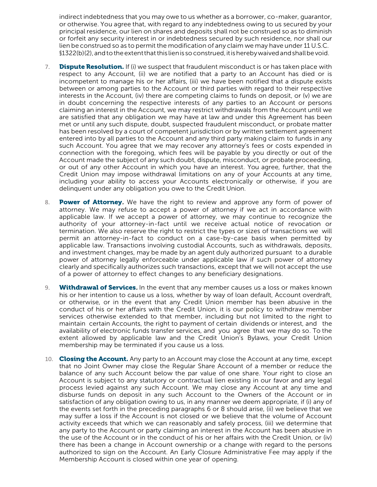indirect indebtedness that you may owe to us whether as a borrower, co-maker, guarantor, or otherwise. You agree that, with regard to any indebtedness owing to us secured by your principal residence, our lien on shares and deposits shall not be construed so as to diminish or forfeit any security interest in or indebtedness secured by such residence, nor shall our lien be construed so as to permit the modification of any claim we may have under 11 U.S.C. §1322(b)(2),andtotheextentthatthis lienis soconstrued,itisherebywaivedandshallbevoid.

- 7. **Dispute Resolution.** If (i) we suspect that fraudulent misconduct is or has taken place with respect to any Account, (ii) we are notified that a party to an Account has died or is incompetent to manage his or her affairs, (iii) we have been notified that a dispute exists between or among parties to the Account or third parties with regard to their respective interests in the Account, (iv) there are competing claims to funds on deposit, or (v) we are in doubt concerning the respective interests of any parties to an Account or persons claiming an interest in the Account, we may restrict withdrawals from the Account until we are satisfied that any obligation we may have at law and under this Agreement has been met or until any such dispute, doubt, suspected fraudulent misconduct, or probate matter has been resolved by a court of competent jurisdiction or by written settlement agreement entered into by all parties to the Account and any third party making claim to funds in any such Account. You agree that we may recover any attorney's fees or costs expended in connection with the foregoing, which fees will be payable by you directly or out of the Account made the subject of any such doubt, dispute, misconduct, or probate proceeding, or out of any other Account in which you have an interest. You agree, further, that the Credit Union may impose withdrawal limitations on any of your Accounts at any time, including your ability to access your Accounts electronically or otherwise, if you are delinquent under any obligation you owe to the Credit Union.
- 8. **Power of Attorney.** We have the right to review and approve any form of power of attorney. We may refuse to accept a power of attorney if we act in accordance with applicable law. If we accept a power of attorney, we may continue to recognize the authority of your attorney-in-fact until we receive actual notice of revocation or termination. We also reserve the right to restrict the types or sizes of transactions we will permit an attorney-in-fact to conduct on a case-by-case basis when permitted by applicable law. Transactions involving custodial Accounts, such as withdrawals, deposits, and investment changes, may be made by an agent duly authorized pursuant to a durable power of attorney legally enforceable under applicable law if such power of attorney clearly and specifically authorizes such transactions, except that we will not accept the use of a power of attorney to effect changes to any beneficiary designations.
- 9. Withdrawal of Services. In the event that any member causes us a loss or makes known his or her intention to cause us a loss, whether by way of loan default, Account overdraft, or otherwise, or in the event that any Credit Union member has been abusive in the conduct of his or her affairs with the Credit Union, it is our policy to withdraw member services otherwise extended to that member, including but not limited to the right to maintain certain Accounts, the right to payment of certain dividends or interest, and the availability of electronic funds transfer services, and you agree that we may do so. To the extent allowed by applicable law and the Credit Union's Bylaws, your Credit Union membership may be terminated if you cause us a loss.
- 10. **Closing the Account.** Any party to an Account may close the Account at any time, except that no Joint Owner may close the Regular Share Account of a member or reduce the balance of any such Account below the par value of one share. Your right to close an Account is subject to any statutory or contractual lien existing in our favor and any legal process levied against any such Account. We may close any Account at any time and disburse funds on deposit in any such Account to the Owners of the Account or in satisfaction of any obligation owing to us, in any manner we deem appropriate, if (i) any of the events set forth in the preceding paragraphs 6 or 8 should arise, (ii) we believe that we may suffer a loss if the Account is not closed or we believe that the volume of Account activity exceeds that which we can reasonably and safely process, (iii) we determine that any party to the Account or party claiming an interest in the Account has been abusive in the use of the Account or in the conduct of his or her affairs with the Credit Union, or (iv) there has been a change in Account ownership or a change with regard to the persons authorized to sign on the Account. An Early Closure Administrative Fee may apply if the Membership Account is closed within one year of opening.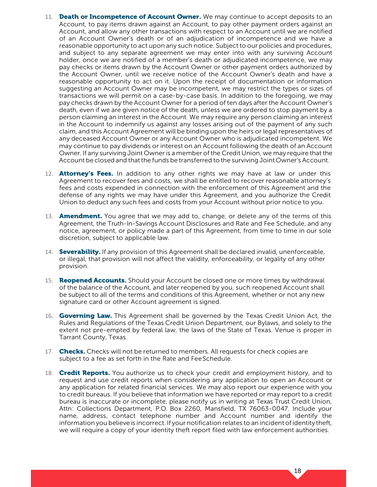- 11. Death or Incompetence of Account Owner. We may continue to accept deposits to an Account, to pay items drawn against an Account, to pay other payment orders against an Account, and allow any other transactions with respect to an Account until we are notified of an Account Owner's death or of an adjudication of incompetence and we have a reasonable opportunity to act upon any such notice. Subject to our policies and procedures, and subject to any separate agreement we may enter into with any surviving Account holder, once we are notified of a member's death or adjudicated incompetence, we may pay checks or items drawn by the Account Owner or other payment orders authorized by the Account Owner, until we receive notice of the Account Owner's death and have a reasonable opportunity to act on it. Upon the receipt of documentation or information suggesting an Account Owner may be incompetent, we may restrict the types or sizes of transactions we will permit on a case-by-case basis. In addition to the foregoing, we may pay checks drawn by the Account Owner for a period of ten days after the Account Owner's death, even if we are given notice of the death, unless we are ordered to stop payment by a person claiming an interest in the Account. We may require any person claiming an interest in the Account to indemnify us against any losses arising out of the payment of any such claim, and this Account Agreement will be binding upon the heirs or legal representatives of any deceased Account Owner or any Account Owner who is adjudicated incompetent. We may continue to pay dividends or interest on an Account following the death of an Account Owner. If any surviving Joint Owner is a member ofthe Credit Union, we may require that the Account be closed and that the funds be transferred to the surviving Joint Owner's Account.
- 12. **Attorney's Fees.** In addition to any other rights we may have at law or under this Agreement to recover fees and costs, we shall be entitled to recover reasonable attorney's fees and costs expended in connection with the enforcement of this Agreement and the defense of any rights we may have under this Agreement, and you authorize the Credit Union to deduct any such fees and costs from your Account without prior notice to you.
- 13. **Amendment.** You agree that we may add to, change, or delete any of the terms of this Agreement, the Truth-In-Savings Account Disclosures and Rate and Fee Schedule, and any notice, agreement, or policy made a part of this Agreement, from time to time in our sole discretion, subject to applicable law.
- 14. Severability. If any provision of this Agreement shall be declared invalid, unenforceable, or illegal, that provision will not affect the validity, enforceability, or legality of any other provision.
- 15. **Reopened Accounts.** Should your Account be closed one or more times by withdrawal of the balance of the Account, and later reopened by you, such reopened Account shall be subject to all of the terms and conditions of this Agreement, whether or not any new signature card or other Account agreement is signed.
- 16. **Governing Law.** This Agreement shall be governed by the Texas Credit Union Act, the Rules and Regulations of the Texas Credit Union Department, our Bylaws, and solely to the extent not pre-empted by federal law, the laws of the State of Texas. Venue is proper in Tarrant County, Texas.
- 17. Checks. Checks will not be returned to members. All requests for check copies are subject to a fee as set forth in the Rate and FeeSchedule.
- 18. Credit Reports. You authorize us to check your credit and employment history, and to request and use credit reports when considering any application to open an Account or any application for related financial services. We may also report our experience with you to credit bureaus. If you believe that information we have reported or may report to a credit bureau is inaccurate or incomplete, please notify us in writing at Texas Trust Credit Union, Attn: Collections Department, P.O. Box 2260, Mansfield, TX 76063-0047. Include your name, address, contact telephone number and Account number and identify the information you believe is incorrect. If your notification relates to an incident ofidentity theft, we will require a copy of your identity theft report filed with law enforcement authorities.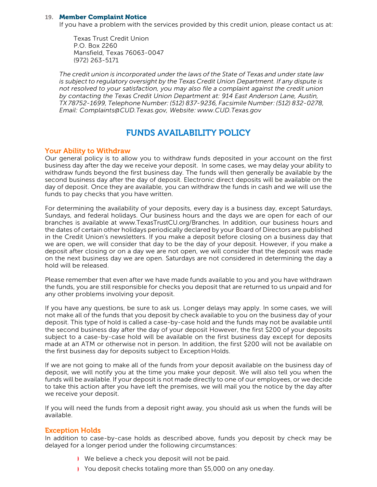#### **19.** Member Complaint Notice

If you have a problem with the services provided by this credit union, please contact us at:

Texas Trust Credit Union P.O. Box 2260 Mansfield, Texas 76063-0047 (972) 263-5171

*The credit union is incorporated under the laws of the State of Texas and under state law is subject to regulatory oversight by the Texas Credit Union Department. If any dispute is not resolved to your satisfaction, you may also file a complaint against the credit union by contacting the Texas Credit Union Department at: 914 East Anderson Lane, Austin, TX 78752-1699, Telephone Number: (512) 837-9236, Facsimile Number: (512) 832-0278, Email[: Complaints@CUD.Texas.gov, W](mailto:Complaints@CUD.Texas.gov)ebsite: [www.CUD.Texas.gov](http://www.cud.texas.gov/)*

### FUNDS AVAILABILITY POLICY

#### Your Ability to Withdraw

Our general policy is to allow you to withdraw funds deposited in your account on the first business day after the day we receive your deposit. In some cases, we may delay your ability to withdraw funds beyond the first business day. The funds will then generally be available by the second business day after the day of deposit. Electronic direct deposits will be available on the day of deposit. Once they are available, you can withdraw the funds in cash and we will use the funds to pay checks that you have written.

<span id="page-19-1"></span><span id="page-19-0"></span>For determining the availability of your deposits, every day is a business day, except Saturdays, Sundays, and federal holidays. Our business hours and the days we are open for each of our branches is available at [www.TexasTrustCU.org/Branches. In](http://www.texastrustcu.org/Branches) addition, our business hours and the dates of certain other holidays periodically declared by your Board of Directors are published in the Credit Union's newsletters. If you make a deposit before closing on a business day that we are open, we will consider that day to be the day of your deposit. However, if you make a deposit after closing or on a day we are not open, we will consider that the deposit was made on the next business day we are open. Saturdays are not considered in determining the day a hold will be released.

Please remember that even after we have made funds available to you and you have withdrawn the funds, you are still responsible for checks you deposit that are returned to us unpaid and for any other problems involving your deposit.

If you have any questions, be sure to ask us. Longer delays may apply. In some cases, we will not make all of the funds that you deposit by check available to you on the business day of your deposit. This type of hold is called a case-by-case hold and the funds may not be available until the second business day after the day of your deposit However, the first \$200 of your deposits subject to a case-by-case hold will be available on the first business day except for deposits made at an ATM or otherwise not in person. In addition, the first \$200 will not be available on the first business day for deposits subject to Exception Holds.

If we are not going to make all of the funds from your deposit available on the business day of deposit, we will notify you at the time you make your deposit. We will also tell you when the funds will be available. If your deposit is not made directly to one of our employees, or we decide to take this action after you have left the premises, we will mail you the notice by the day after we receive your deposit.

If you will need the funds from a deposit right away, you should ask us when the funds will be available.

#### Exception Holds

<span id="page-19-2"></span>In addition to case-by-case holds as described above, funds you deposit by check may be delayed for a longer period under the following circumstances:

- ◗ We believe a check you deposit will not be paid.
- ◗ You deposit checks totaling more than \$5,000 on any oneday.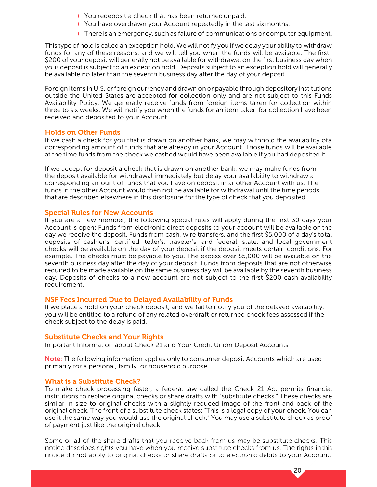- ◗ You redeposit a check that has been returned unpaid.
- ◗ You have overdrawn your Account repeatedly in the last sixmonths.
- ◗ There is an emergency, such as failure of communications or computer equipment.

This type of hold is called an exception hold. We will notify you if we delay your ability to withdraw funds for any of these reasons, and we will tell you when the funds will be available. The first \$200 of your deposit will generally not be available for withdrawal on the first business day when your deposit is subject to an exception hold. Deposits subject to an exception hold will generally be available no later than the seventh business day after the day of your deposit.

Foreign items in U.S. or foreign currency and drawn on or payable through depository institutions outside the United States are accepted for collection only and are not subject to this Funds Availability Policy. We generally receive funds from foreign items taken for collection within three to six weeks. We will notify you when the funds for an item taken for collection have been received and deposited to your Account.

#### Holds on Other Funds

If we cash a check for you that is drawn on another bank, we may withhold the availability ofa corresponding amount of funds that are already in your Account. Those funds will be available at the time funds from the check we cashed would have been available if you had deposited it.

If we accept for deposit a check that is drawn on another bank, we may make funds from the deposit available for withdrawal immediately but delay your availability to withdraw a corresponding amount of funds that you have on deposit in another Account with us. The funds in the other Account would then not be available for withdrawal until the time periods that are described elsewhere in this disclosure for the type of check that you deposited.

#### <span id="page-20-0"></span>Special Rules for New Accounts

If you are a new member, the following special rules will apply during the first 30 days your Account is open: Funds from electronic direct deposits to your account will be available on the day we receive the deposit. Funds from cash, wire transfers, and the first \$5,000 of a day's total deposits of cashier's, certified, teller's, traveler's, and federal, state, and local government checks will be available on the day of your deposit if the deposit meets certain conditions. For example. The checks must be payable to you. The excess over \$5,000 will be available on the seventh business day after the day of your deposit. Funds from deposits that are not otherwise required to be made available on the same business day will be available by the seventh business day. Deposits of checks to a new account are not subject to the first \$200 cash availability requirement.

#### <span id="page-20-1"></span>NSF Fees Incurred Due to Delayed Availability of Funds

If we place a hold on your check deposit, and we fail to notify you of the delayed availability, you will be entitled to a refund of any related overdraft or returned check fees assessed if the check subject to the delay is paid.

#### <span id="page-20-2"></span>Substitute Checks and Your Rights

Important Information about Check 21 and Your Credit Union Deposit Accounts

Note: The following information applies only to consumer deposit Accounts which are used primarily for a personal, family, or household purpose.

#### <span id="page-20-3"></span>What is a Substitute Check?

<span id="page-20-4"></span>To make check processing faster, a federal law called the Check 21 Act permits financial institutions to replace original checks or share drafts with "substitute checks." These checks are similar in size to original checks with a slightly reduced image of the front and back of the original check. The front of a substitute check states: "This is a legal copy of your check. You can use it the same way you would use the original check." You may use a substitute check as proof of payment just like the original check.

Some or all of the share drafts that you receive back from us may be substitute checks. This notice describes rights you have when you receive substitute checks from us. The rights in this notice do not apply to original checks or share drafts or to electronic debits to your Account.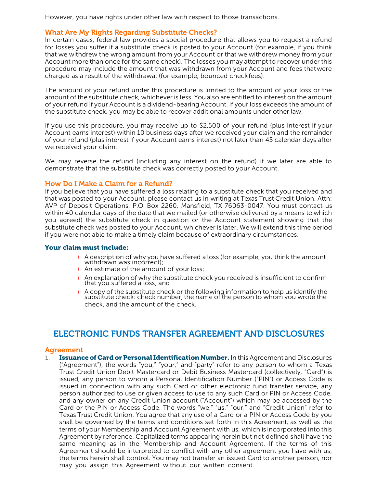However, you have rights under other law with respect to those transactions.

#### What Are My Rights Regarding Substitute Checks?

In certain cases, federal law provides a special procedure that allows you to request a refund for losses you suffer if a substitute check is posted to your Account (for example, if you think that we withdrew the wrong amount from your Account or that we withdrew money from your Account more than once for the same check). The losses you may attempt to recover under this procedure may include the amount that was withdrawn from your Account and fees thatwere charged as a result of the withdrawal (for example, bounced checkfees).

The amount of your refund under this procedure is limited to the amount of your loss or the amount of the substitute check, whichever is less. You also are entitled to interest on the amount of your refund if your Account is a dividend-bearing Account. If your loss exceeds the amount of the substitute check, you may be able to recover additional amounts under other law.

<span id="page-21-0"></span>If you use this procedure, you may receive up to \$2,500 of your refund (plus interest if your Account earns interest) within 10 business days after we received your claim and the remainder of your refund (plus interest if your Account earns interest) not later than 45 calendar days after we received your claim.

We may reverse the refund (including any interest on the refund) if we later are able to demonstrate that the substitute check was correctly posted to your Account.

#### How Do I Make a Claim for a Refund?

If you believe that you have suffered a loss relating to a substitute check that you received and that was posted to your Account, please contact us in writing at Texas Trust Credit Union, Attn: AVP of Deposit Operations, P.O. Box 2260, Mansfield, TX 76063-0047. You must contact us within 40 calendar days of the date that we mailed (or otherwise delivered by a means to which you agreed) the substitute check in question or the Account statement showing that the substitute check was posted to your Account, whichever is later. We will extend this time period if you were not able to make a timely claim because of extraordinary circumstances.

#### <span id="page-21-1"></span>Your claim must include:

- ◗ A description of why you have suffered a loss (for example, you think the amount withdrawn was incorrect);
- ◗ An estimate of the amount of your loss;
- ◗ An explanation of why the substitute check you received is insufficient to confirm that you suffered a loss; and
- ◗ A copy of the substitute check or the following information to help us identify the substitute check: check number, the name of the person to whom you wrote the check, and the amount of the check.

### ELECTRONIC FUNDS TRANSFER AGREEMENT AND DISCLOSURES

#### Agreement

<span id="page-21-3"></span><span id="page-21-2"></span>1. **Issuance of Card or Personal Identification Number.** In this Agreement and Disclosures ("Agreement"), the words "you," "your," and "party" refer to any person to whom a Texas Trust Credit Union Debit Mastercard or Debit Business Mastercard (collectively, "Card") is issued, any person to whom a Personal Identification Number ("PIN") or Access Code is issued in connection with any such Card or other electronic fund transfer service, any person authorized to use or given access to use to any such Card or PIN or Access Code, and any owner on any Credit Union account ("Account") which may be accessed by the Card or the PIN or Access Code. The words "we," "us," "our," and "Credit Union" refer to Texas Trust Credit Union. You agree that any use of a Card or a PIN or Access Code by you shall be governed by the terms and conditions set forth in this Agreement, as well as the terms of your Membership and Account Agreement with us, which is incorporated into this Agreement by reference. Capitalized terms appearing herein but not defined shall have the same meaning as in the Membership and Account Agreement. If the terms of this Agreement should be interpreted to conflict with any other agreement you have with us, the terms herein shall control. You may not transfer an issued Card to another person, nor may you assign this Agreement without our written consent.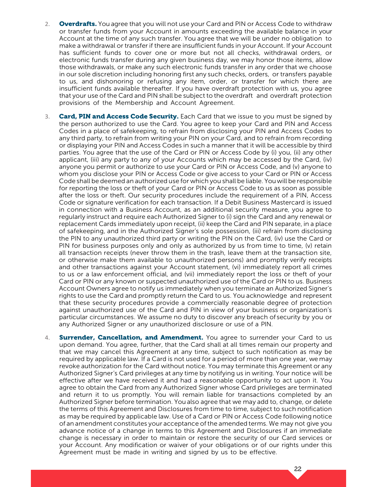- 2. **Overdrafts.** You agree that you will not use your Card and PIN or Access Code to withdraw or transfer funds from your Account in amounts exceeding the available balance in your Account at the time of any such transfer. You agree that we will be under no obligation to make a withdrawal or transfer if there are insufficient funds in your Account. If your Account has sufficient funds to cover one or more but not all checks, withdrawal orders, or electronic funds transfer during any given business day, we may honor those items, allow those withdrawals, or make any such electronic funds transfer in any order that we choose in our sole discretion including honoring first any such checks, orders, or transfers payable to us, and dishonoring or refusing any item, order, or transfer for which there are insufficient funds available thereafter. If you have overdraft protection with us, you agree that your use of the Card and PIN shall be subject to the overdraft and overdraft protection provisions of the Membership and Account Agreement.
- 3. Card, PIN and Access Code Security. Each Card that we issue to you must be signed by the person authorized to use the Card. You agree to keep your Card and PIN and Access Codes in a place of safekeeping, to refrain from disclosing your PIN and Access Codes to any third party, to refrain from writing your PIN on your Card, and to refrain from recording or displaying your PIN and Access Codes in such a manner that it will be accessible by third parties. You agree that the use of the Card or PIN or Access Code by (i) you, (ii) any other applicant, (iii) any party to any of your Accounts which may be accessed by the Card, (iv) anyone you permit or authorize to use your Card or PIN or Access Code, and (v) anyone to whom you disclose your PIN or Access Code or give access to your Card or PIN or Access Code shall be deemed an authorized use for which you shall be liable. You will be responsible for reporting the loss or theft of your Card or PIN or Access Code to us as soon as possible after the loss or theft. Our security procedures include the requirement of a PIN, Access Code or signature verification for each transaction. If a Debit Business Mastercard is issued in connection with a Business Account, as an additional security measure, you agree to regularly instruct and require each Authorized Signer to (i) sign the Card and any renewal or replacement Cards immediately upon receipt, (ii) keep the Card and PIN separate, in a place of safekeeping, and in the Authorized Signer's sole possession, (iii) refrain from disclosing the PIN to any unauthorized third party or writing the PIN on the Card, (iv) use the Card or PIN for business purposes only and only as authorized by us from time to time, (v) retain all transaction receipts (never throw them in the trash, leave them at the transaction site, or otherwise make them available to unauthorized persons) and promptly verify receipts and other transactions against your Account statement, (vi) immediately report all crimes to us or a law enforcement official, and (vii) immediately report the loss or theft of your Card or PIN or any known or suspected unauthorized use of the Card or PIN to us. Business Account Owners agree to notify us immediately when you terminate an Authorized Signer's rights to use the Card and promptly return the Card to us. You acknowledge and represent that these security procedures provide a commercially reasonable degree of protection against unauthorized use of the Card and PIN in view of your business or organization's particular circumstances. We assume no duty to discover any breach of security by you or any Authorized Signer or any unauthorized disclosure or use of a PIN.
- 4. Surrender, Cancellation, and Amendment. You agree to surrender your Card to us upon demand. You agree, further, that the Card shall at all times remain our property and that we may cancel this Agreement at any time, subject to such notification as may be required by applicable law. If a Card is not used for a period of more than one year, we may revoke authorization for the Card without notice. You may terminate this Agreement or any Authorized Signer's Card privileges at any time by notifying us in writing. Your notice will be effective after we have received it and had a reasonable opportunity to act upon it. You agree to obtain the Card from any Authorized Signer whose Card privileges are terminated and return it to us promptly. You will remain liable for transactions completed by an Authorized Signer before termination. You also agree that we may add to, change, or delete the terms of this Agreement and Disclosures from time to time, subject to such notification as may be required by applicable law. Use of a Card or PIN or Access Code following notice of an amendment constitutes your acceptance of the amended terms. We may not give you advance notice of a change in terms to this Agreement and Disclosures if an immediate change is necessary in order to maintain or restore the security of our Card services or your Account. Any modification or waiver of your obligations or of our rights under this Agreement must be made in writing and signed by us to be effective.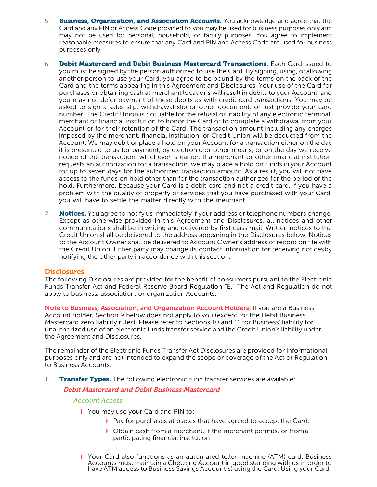- 5. **Business, Organization, and Association Accounts.** You acknowledge and agree that the Card and any PIN or Access Code provided to you may be used for business purposes only and may not be used for personal, household, or family purposes. You agree to implement reasonable measures to ensure that any Card and PIN and Access Code are used for business purposes only.
- 6. Debit Mastercard and Debit Business Mastercard Transactions. Each Card issued to you must be signed by the person authorized to use the Card. By signing, using, or allowing another person to use your Card, you agree to be bound by the terms on the back of the Card and the terms appearing in this Agreement and Disclosures. Your use of the Card for purchases or obtaining cash at merchant locations will result in debits to your Account, and you may not defer payment of these debits as with credit card transactions. You may be asked to sign a sales slip, withdrawal slip or other document, or just provide your card number. The Credit Union is not liable for the refusal or inability of any electronic terminal, merchant or financial institution to honor the Card or to complete a withdrawal from your Account or for their retention of the Card. The transaction amount including any charges imposed by the merchant, financial institution, or Credit Union will be deducted from the Account. We may debit or place a hold on your Account for a transaction either on the day it is presented to us for payment, by electronic or other means, or on the day we receive notice of the transaction, whichever is earlier. If a merchant or other financial institution requests an authorization for a transaction, we may place a hold on funds in your Account for up to seven days for the authorized transaction amount. As a result, you will not have access to the funds on hold other than for the transaction authorized for the period of the hold. Furthermore, because your Card is a debit card and not a credit card, if you have a problem with the quality of property or services that you have purchased with your Card, you will have to settle the matter directly with the merchant.
- 7. Notices. You agree to notify us immediately if your address or telephone numbers change. Except as otherwise provided in this Agreement and Disclosures, all notices and other communications shall be in writing and delivered by first class mail. Written notices to the Credit Union shall be delivered to the address appearing in the Disclosures below. Notices to the Account Owner shall be delivered to Account Owner's address of record on file with the Credit Union. Either party may change its contact information for receiving noticesby notifying the other party in accordance with this section.

#### **Disclosures**

The following Disclosures are provided for the benefit of consumers pursuant to the Electronic Funds Transfer Act and Federal Reserve Board Regulation "E." The Act and Regulation do not apply to business, association, or organization Accounts.

<span id="page-23-0"></span>Note to Business, Association, and Organization Account Holders: If you are a Business Account holder, Section 9 below does not apply to you (except for the Debit Business Mastercard zero liability rules). Please refer to Sections 10 and 11 for Business' liability for unauthorized use of an electronic funds transfer service and the Credit Union's liability under the Agreement and Disclosures.

The remainder of the Electronic Funds Transfer Act Disclosures are provided for informational purposes only and are not intended to expand the scope or coverage of the Act or Regulation to Business Accounts.

1. **Transfer Types.** The following electronic fund transfer services are available:

#### Debit Mastercard and Debit Business Mastercard

#### *Account Access*

- ◗ You may use your Card and PIN to:
	- ◗ Pay for purchases at places that have agreed to accept the Card.
	- ◗ Obtain cash from a merchant, if the merchant permits, or froma participating financial institution.
- ◗ Your Card also functions as an automated teller machine (ATM) card. Business Accounts must maintain a Checking Account in good standing with us in order to have ATM access to Business Savings Account(s) using the Card. Using your Card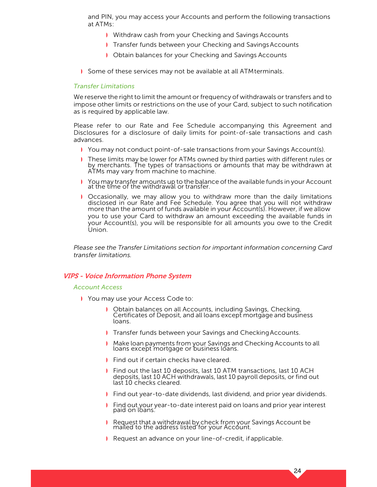and PIN, you may access your Accounts and perform the following transactions at ATMs:

- ◗ Withdraw cash from your Checking and Savings Accounts
- ◗ Transfer funds between your Checking and SavingsAccounts
- ◗ Obtain balances for your Checking and Savings Accounts
- ◗ Some of these services may not be available at all ATMterminals.

#### *Transfer Limitations*

We reserve the right to limit the amount or frequency of withdrawals or transfers and to impose other limits or restrictions on the use of your Card, subject to such notification as is required by applicable law.

Please refer to our Rate and Fee Schedule accompanying this Agreement and Disclosures for a disclosure of daily limits for point-of-sale transactions and cash advances.

- ◗ You may not conduct point-of-sale transactions from your Savings Account(s).
- These limits may be lower for ATMs owned by third parties with different rules or by merchants. The types of transactions or amounts that may be withdrawn at ATMs may vary from machine to machine.
- ◗ You may transfer amounts up to the balance of the available funds in your Account at the time of the withdrawal or transfer.
- ◗ Occasionally, we may allow you to withdraw more than the daily limitations disclosed in our Rate and Fee Schedule. You agree that you will not withdraw more than the amount of funds available in your Account(s). However, if we allow you to use your Card to withdraw an amount exceeding the available funds in your Account(s), you will be responsible for all amounts you owe to the Credit Union.

*Please see the Transfer Limitations section for important information concerning Card transfer limitations.*

#### VIPS - Voice Information Phone System

#### *Account Access*

- ◗ You may use your Access Code to:
	- ◗ Obtain balances on all Accounts, including Savings, Checking, Certificates of Deposit, and all loans except mortgage and business loans.
	- **Transfer funds between your Savings and Checking Accounts.**
	- ◗ Make loan payments from your Savings and Checking Accounts to all loans except mortgage or business loans.
	- ◗ Find out if certain checks have cleared.
	- ◗ Find out the last 10 deposits, last 10 ATM transactions, last 10 ACH deposits, last 10 ACH withdrawals, last 10 payroll deposits, or find out last 10 checks cleared.
	- ◗ Find out year-to-date dividends, last dividend, and prior year dividends.
	- ◗ Find out your year-to-date interest paid on loans and prior year interest paid on loans.

- ◗ Request that a withdrawal by check from your Savings Account be mailed to the address listed for your Account.
- ◗ Request an advance on your line-of-credit, if applicable.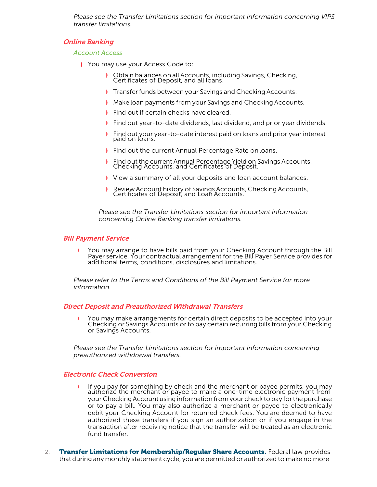*Please see the Transfer Limitations section for important information concerning VIPS transfer limitations.*

#### Online Banking

#### *Account Access*

- ◗ You may use your Access Code to:
	- ◗ Obtain balances on all Accounts, including Savings, Checking, Certificates of Deposit, and all loans.
	- **Transfer funds between your Savings and Checking Accounts.**
	- ◗ Make loan payments from your Savings and Checking Accounts.
	- ◗ Find out if certain checks have cleared.
	- ◗ Find out year-to-date dividends, last dividend, and prior year dividends.
	- ◗ Find out your year-to-date interest paid on loans and prior year interest paid on loans.
	- ◗ Find out the current Annual Percentage Rate onloans.
	- ◗ Find out the current Annual Percentage Yield on Savings Accounts, Checking Accounts, and Certificates of Deposit.
	- ◗ View a summary of all your deposits and loan account balances.
	- ◗ Review Account history of Savings Accounts, Checking Accounts, Certificates of Deposit, and Loan Accounts.

*Please see the Transfer Limitations section for important information concerning Online Banking transfer limitations.*

#### Bill Payment Service

You may arrange to have bills paid from your Checking Account through the Bill Payer service. Your contractual arrangement for the Bill Payer Service provides for additional terms, conditions, disclosures and limitations.

*Please refer to the Terms and Conditions of the Bill Payment Service for more information.*

#### Direct Deposit and Preauthorized Withdrawal Transfers

◗ You may make arrangements for certain direct deposits to be accepted into your Checking or Savings Accounts or to pay certain recurring bills from your Checking or Savings Accounts.

*Please see the Transfer Limitations section for important information concerning preauthorized withdrawal transfers.*

#### Electronic Check Conversion

- ◗ If you pay for something by check and the merchant or payee permits, you may authorize the merchant or payee to make <sup>a</sup> one-time electronic payment from your Checking Account using information from your check to pay forthe purchase or to pay a bill. You may also authorize a merchant or payee to electronically debit your Checking Account for returned check fees. You are deemed to have authorized these transfers if you sign an authorization or if you engage in the transaction after receiving notice that the transfer will be treated as an electronic fund transfer.
- 2. Transfer Limitations for Membership/Regular Share Accounts. Federal law provides that during any monthly statement cycle, you are permitted or authorized to make no more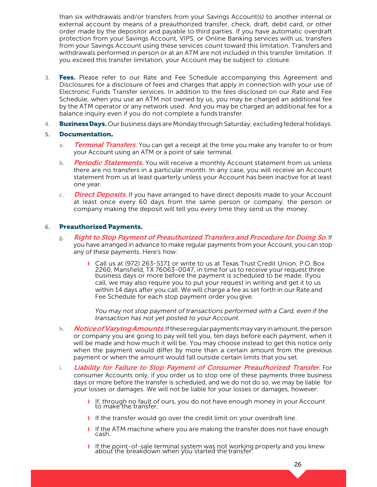than six withdrawals and/or transfers from your Savings Account(s) to another internal or external account by means of a preauthorized transfer, check, draft, debit card, or other order made by the depositor and payable to third parties. If you have automatic overdraft protection from your Savings Account, VIPS, or Online Banking services with us, transfers from your Savings Account using these services count toward this limitation. Transfers and withdrawals performed in person or at an ATM are not included in this transfer limitation. If you exceed this transfer limitation, your Account may be subject to closure.

- 3. **Fees.** Please refer to our Rate and Fee Schedule accompanying this Agreement and Disclosures for a disclosure of fees and charges that apply in connection with your use of Electronic Funds Transfer services. In addition to the fees disclosed on our Rate and Fee Schedule, when you use an ATM not owned by us, you may be charged an additional fee by the ATM operator or any network used. And you may be charged an additional fee for a balance inquiry even if you do not complete a funds transfer.
- 4. **Business Days.** Our business days are Monday through Saturday, excluding federal holidays.

#### **5.** Documentation.

- a. Terminal Transfers. You can get a receipt at the time you make any transfer to or from your Account using an ATM or a point of sale terminal.
- b. Periodic Statements. You will receive a monthly Account statement from us unless there are no transfers in a particular month. In any case, you will receive an Account statement from us at least quarterly unless your Account has been inactive for at least one year.
- c. **Direct Deposits.** If you have arranged to have direct deposits made to your Account at least once every 60 days from the same person or company, the person or company making the deposit will tell you every time they send us the money.

#### **6.** Preauthorized Payments.

- g. Right to Stop Payment of Preauthorized Transfers and Procedure for Doing So. If you have arranged in advance to make regular payments from your Account, you can stop any of these payments. Here's how:
	- ◗ Call us at (972) 263-5171 or write to us at Texas Trust Credit Union, P.O. Box 2260, Mansfield, TX 76063-0047, in time for us to receive your request three business days or more before the payment is scheduled to be made. Ifyou call, we may also require you to put your request in writing and get it to us within 14 days after you call. We will charge a fee as set forth in our Rate and Fee Schedule for each stop payment order you give.

*You may not stop payment of transactions performed with a Card, even if the transaction has not yet posted to your Account.*

- h. **Notice of Varying Amounts.** If these reqular payments may vary in amount, the person or company you are going to pay will tell you, ten days before each payment, when it will be made and how much it will be. You may choose instead to get this notice only when the payment would differ by more than a certain amount from the previous payment or when the amount would fall outside certain limits that you set.
- i. Liability for Failure to Stop Payment of Consumer Preauthorized Transfer. For consumer Accounts only, if you order us to stop one of these payments three business days or more before the transfer is scheduled, and we do not do so, we may be liable for your losses or damages. We will not be liable for your losses or damages, however:
	- ◗ If, through no fault of ours, you do not have enough money in your Account to make the transfer.
	- ◗ If the transfer would go over the credit limit on your overdraft line.
	- ◗ If the ATM machine where you are making the transfer does not have enough cash.
	- ◗ If the point-of-sale terminal system was not working properly and you knew about the breakdown when you started the transfer.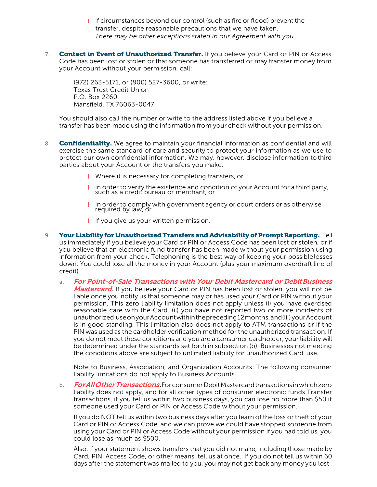- ◗ If circumstances beyond our control (such as fire or flood) prevent the transfer, despite reasonable precautions that we have taken. *There may be other exceptions stated in our Agreement with you.*
- 7. Contact in Event of Unauthorized Transfer. If you believe your Card or PIN or Access Code has been lost or stolen or that someone has transferred or may transfer money from your Account without your permission, call:

(972) 263-5171, or (800) 527-3600, or write: Texas Trust Credit Union P.O. Box 2260 Mansfield, TX 76063-0047

You should also call the number or write to the address listed above if you believe a transfer has been made using the information from your check without your permission.

- 8. Confidentiality. We agree to maintain your financial information as confidential and will exercise the same standard of care and security to protect your information as we use to protect our own confidential information. We may, however, disclose information tothird parties about your Account or the transfers you make:
	- ◗ Where it is necessary for completing transfers, or
	- ◗ In order to verify the existence and condition of your Account for <sup>a</sup> third party, such as a credit bureau or merchant, or
	- ◗ In order to comply with government agency or court orders or as otherwise required by law, or
	- ◗ If you give us your written permission.
- 9. Your Liability for Unauthorized Transfers and Advisability of Prompt Reporting. Tell us immediately if you believe your Card or PIN or Access Code has been lost or stolen, or if you believe that an electronic fund transfer has been made without your permission using information from your check. Telephoning is the best way of keeping your possiblelosses down. You could lose all the money in your Account (plus your maximum overdraft line of credit).
	- a. For Point-of-Sale Transactions with Your Debit Mastercard or Debit Business Mastercard. If you believe your Card or PIN has been lost or stolen, you will not be liable once you notify us that someone may or has used your Card or PIN without your permission. This zero liability limitation does not apply unless (i) you have exercised reasonable care with the Card, (ii) you have not reported two or more incidents of unauthorized useonyourAccountwithinthepreceding12months,and(iii)yourAccount is in good standing. This limitation also does not apply to ATM transactions or if the PIN was used as the cardholder verification method for the unauthorized transaction. If you do not meet these conditions and you are a consumer cardholder, your liability will be determined under the standards set forth in subsection (b). Businesses not meeting the conditions above are subject to unlimited liability for unauthorized Card use.

Note to Business, Association, and Organization Accounts: The following consumer liability limitations do not apply to Business Accounts.

b. For All Other Transactions. For consumer Debit Mastercard transactions in which zero liability does not apply, and for all other types of consumer electronic funds Transfer transactions, if you tell us within two business days, you can lose no more than \$50 if someone used your Card or PIN or Access Code without your permission.

If you do NOT tell us within two business days after you learn of the loss or theft of your Card or PIN or Access Code, and we can prove we could have stopped someone from using your Card or PIN or Access Code without your permission if you had told us, you could lose as much as \$500.

Also, if your statement shows transfers that you did not make, including those made by Card, PIN, Access Code, or other means, tell us at once. If you do not tell us within 60 days after the statement was mailed to you, you may not get back any money you lost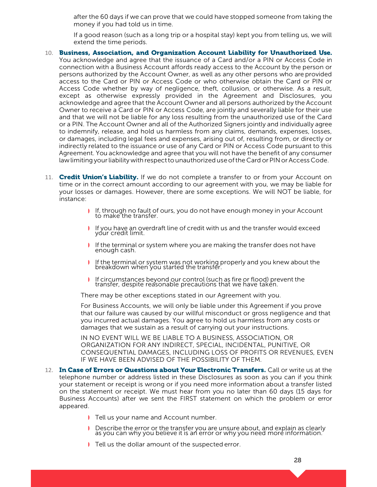after the 60 days if we can prove that we could have stopped someone from taking the money if you had told us in time.

If a good reason (such as a long trip or a hospital stay) kept you from telling us, we will extend the time periods.

- 10. Business, Association, and Organization Account Liability for Unauthorized Use. You acknowledge and agree that the issuance of a Card and/or a PIN or Access Code in connection with a Business Account affords ready access to the Account by the person or persons authorized by the Account Owner, as well as any other persons who are provided access to the Card or PIN or Access Code or who otherwise obtain the Card or PIN or Access Code whether by way of negligence, theft, collusion, or otherwise. As a result, except as otherwise expressly provided in the Agreement and Disclosures, you acknowledge and agree that the Account Owner and all persons authorized by the Account Owner to receive a Card or PIN or Access Code, are jointly and severally liable for their use and that we will not be liable for any loss resulting from the unauthorized use of the Card or a PIN. The Account Owner and all of the Authorized Signers jointly and individually agree to indemnify, release, and hold us harmless from any claims, demands, expenses, losses, or damages, including legal fees and expenses, arising out of, resulting from, or directly or indirectly related to the issuance or use of any Card or PIN or Access Code pursuant to this Agreement. You acknowledge and agree that you will not have the benefit of any consumer law limiting your liability with respect to unauthorized use of the Card or PIN or Access Code.
- 11. Credit Union's Liability. If we do not complete a transfer to or from your Account on time or in the correct amount according to our agreement with you, we may be liable for your losses or damages. However, there are some exceptions. We will NOT be liable, for instance:
	- ◗ If, through no fault of ours, you do not have enough money in your Account to make the transfer.
	- ◗ If you have an overdraft line of credit with us and the transfer would exceed your credit limit.
	- ◗ If the terminal or system where you are making the transfer does not have enough cash.
	- ◗ If the terminal or system was not working properly and you knew about the breakdown when you started the transfer.
	- ◗ If circumstances beyond our control (such as fire or flood) prevent the transfer, despite reasonable precautions that we have taken.

There may be other exceptions stated in our Agreement with you.

For Business Accounts, we will only be liable under this Agreement if you prove that our failure was caused by our willful misconduct or gross negligence and that you incurred actual damages. You agree to hold us harmless from any costs or damages that we sustain as a result of carrying out your instructions.

IN NO EVENT WILL WE BE LIABLE TO A BUSINESS, ASSOCIATION, OR ORGANIZATION FOR ANY INDIRECT, SPECIAL, INCIDENTAL, PUNITIVE, OR CONSEQUENTIAL DAMAGES, INCLUDING LOSS OF PROFITS OR REVENUES, EVEN IF WE HAVE BEEN ADVISED OF THE POSSIBILITY OF THEM.

- 12. In Case of Errors or Questions about Your Electronic Transfers. Call or write us at the telephone number or address listed in these Disclosures as soon as you can if you think your statement or receipt is wrong or if you need more information about a transfer listed on the statement or receipt. We must hear from you no later than 60 days (15 days for Business Accounts) after we sent the FIRST statement on which the problem or error appeared.
	- ◗ Tell us your name and Account number.
	- ◗ Describe the error or the transfer you are unsure about, and explain as clearly as you can why you believe it is an error or why you need more information.
	- ◗ Tell us the dollar amount of the suspected error.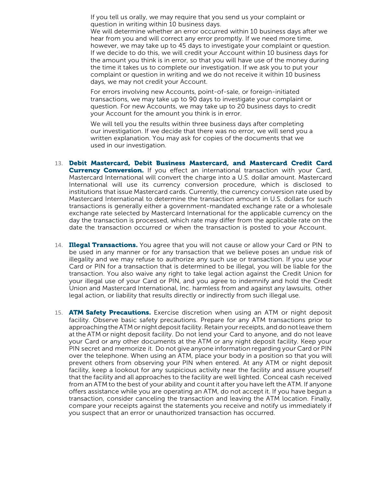If you tell us orally, we may require that you send us your complaint or question in writing within 10 business days.

We will determine whether an error occurred within 10 business days after we hear from you and will correct any error promptly. If we need more time, however, we may take up to 45 days to investigate your complaint or question. If we decide to do this, we will credit your Account within 10 business days for the amount you think is in error, so that you will have use of the money during the time it takes us to complete our investigation. If we ask you to put your complaint or question in writing and we do not receive it within 10 business days, we may not credit your Account.

For errors involving new Accounts, point-of-sale, or foreign-initiated transactions, we may take up to 90 days to investigate your complaint or question. For new Accounts, we may take up to 20 business days to credit your Account for the amount you think is in error.

We will tell you the results within three business days after completing our investigation. If we decide that there was no error, we will send you a written explanation. You may ask for copies of the documents that we used in our investigation.

- 13. Debit Mastercard, Debit Business Mastercard, and Mastercard Credit Card **Currency Conversion.** If you effect an international transaction with your Card, Mastercard International will convert the charge into a U.S. dollar amount. Mastercard International will use its currency conversion procedure, which is disclosed to institutions that issue Mastercard cards. Currently, the currency conversion rate used by Mastercard International to determine the transaction amount in U.S. dollars for such transactions is generally either a government-mandated exchange rate or a wholesale exchange rate selected by Mastercard International for the applicable currency on the day the transaction is processed, which rate may differ from the applicable rate on the date the transaction occurred or when the transaction is posted to your Account.
- 14. **Illegal Transactions.** You agree that you will not cause or allow your Card or PIN to be used in any manner or for any transaction that we believe poses an undue risk of illegality and we may refuse to authorize any such use or transaction. If you use your Card or PIN for a transaction that is determined to be illegal, you will be liable for the transaction. You also waive any right to take legal action against the Credit Union for your illegal use of your Card or PIN, and you agree to indemnify and hold the Credit Union and Mastercard International, Inc. harmless from and against any lawsuits, other legal action, or liability that results directly or indirectly from such illegal use.
- 15. **ATM Safety Precautions.** Exercise discretion when using an ATM or night deposit facility. Observe basic safety precautions. Prepare for any ATM transactions prior to approaching the ATM or night deposit facility. Retain your receipts, and do not leave them at the ATM or night deposit facility. Do not lend your Card to anyone, and do not leave your Card or any other documents at the ATM or any night deposit facility. Keep your PIN secret and memorize it. Do not give anyone information regarding your Card or PIN over the telephone. When using an ATM, place your body in a position so that you will prevent others from observing your PIN when entered. At any ATM or night deposit facility, keep a lookout for any suspicious activity near the facility and assure yourself that the facility and all approaches to the facility are well lighted. Conceal cash received from an ATM to the best of your ability and count it after you have left the ATM. If anyone offers assistance while you are operating an ATM, do not accept it. If you have begun a transaction, consider canceling the transaction and leaving the ATM location. Finally, compare your receipts against the statements you receive and notify us immediately if you suspect that an error or unauthorized transaction has occurred.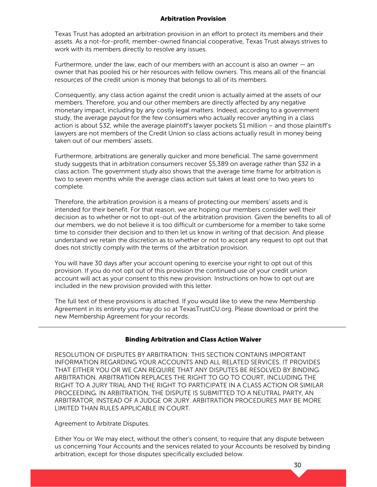#### Arbitration Provision

Texas Trust has adopted an arbitration provision in an effort to protect its members and their assets. As a not-for-profit, member-owned financial cooperative, Texas Trust always strives to work with its members directly to resolve any issues.

Furthermore, under the law, each of our members with an account is also an owner — an owner that has pooled his or her resources with fellow owners. This means all of the financial resources of the credit union is money that belongs to all of its members.

Consequently, any class action against the credit union is actually aimed at the assets of our members. Therefore, you and our other members are directly affected by any negative monetary impact, including by any costly legal matters. Indeed, according to a government study, the average payout for the few consumers who actually recover anything in a class action is about \$32, while the average plaintiff's lawyer pockets \$1 million – and those plaintiff's lawyers are not members of the Credit Union so class actions actually result in money being taken out of our members' assets.

Furthermore, arbitrations are generally quicker and more beneficial. The same government study suggests that in arbitration consumers recover \$5,389 on average rather than \$32 in a class action. The government study also shows that the average time frame for arbitration is two to seven months while the average class action suit takes at least one to two years to complete.

Therefore, the arbitration provision is a means of protecting our members' assets and is intended for their benefit. For that reason, we are hoping our members consider well their decision as to whether or not to opt-out of the arbitration provision. Given the benefits to all of our members, we do not believe it is too difficult or cumbersome for a member to take some time to consider their decision and to then let us know in writing of that decision. And please understand we retain the discretion as to whether or not to accept any request to opt out that does not strictly comply with the terms of the arbitration provision.

You will have 30 days after your account opening to exercise your right to opt out of this provision. If you do not opt out of this provision the continued use of your credit union account will act as your consent to this new provision. Instructions on how to opt out are included in the new provision provided with this letter.

The full text of these provisions is attached. If you would like to view the new Membership Agreement in its entirety you may do so at TexasTrustCU.org. Please download or print the new Membership Agreement for your records.

#### Binding Arbitration and Class Action Waiver

RESOLUTION OF DISPUTES BY ARBITRATION: THIS SECTION CONTAINS IMPORTANT INFORMATION REGARDING YOUR ACCOUNTS AND ALL RELATED SERVICES. IT PROVIDES THAT EITHER YOU OR WE CAN REQUIRE THAT ANY DISPUTES BE RESOLVED BY BINDING ARBITRATION. ARBITRATION REPLACES THE RIGHT TO GO TO COURT, INCLUDING THE RIGHT TO A JURY TRIAL AND THE RIGHT TO PARTICIPATE IN A CLASS ACTION OR SIMILAR PROCEEDING. IN ARBITRATION, THE DISPUTE IS SUBMITTED TO A NEUTRAL PARTY, AN ARBITRATOR, INSTEAD OF A JUDGE OR JURY. ARBITRATION PROCEDURES MAY BE MORE LIMITED THAN RULES APPLICABLE IN COURT.

Agreement to Arbitrate Disputes.

Either You or We may elect, without the other's consent, to require that any dispute between us concerning Your Accounts and the services related to your Accounts be resolved by binding arbitration, except for those disputes specifically excluded below.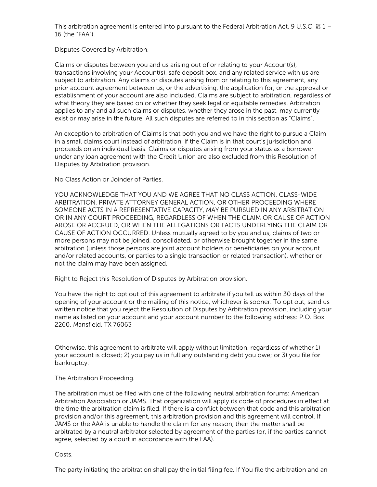This arbitration agreement is entered into pursuant to the Federal Arbitration Act, 9 U.S.C. §§ 1 -16 (the "FAA").

Disputes Covered by Arbitration.

Claims or disputes between you and us arising out of or relating to your Account(s), transactions involving your Account(s), safe deposit box, and any related service with us are subject to arbitration. Any claims or disputes arising from or relating to this agreement, any prior account agreement between us, or the advertising, the application for, or the approval or establishment of your account are also included. Claims are subject to arbitration, regardless of what theory they are based on or whether they seek legal or equitable remedies. Arbitration applies to any and all such claims or disputes, whether they arose in the past, may currently exist or may arise in the future. All such disputes are referred to in this section as "Claims".

An exception to arbitration of Claims is that both you and we have the right to pursue a Claim in a small claims court instead of arbitration, if the Claim is in that court's jurisdiction and proceeds on an individual basis. Claims or disputes arising from your status as a borrower under any loan agreement with the Credit Union are also excluded from this Resolution of Disputes by Arbitration provision.

No Class Action or Joinder of Parties.

YOU ACKNOWLEDGE THAT YOU AND WE AGREE THAT NO CLASS ACTION, CLASS-WIDE ARBITRATION, PRIVATE ATTORNEY GENERAL ACTION, OR OTHER PROCEEDING WHERE SOMEONE ACTS IN A REPRESENTATIVE CAPACITY, MAY BE PURSUED IN ANY ARBITRATION OR IN ANY COURT PROCEEDING, REGARDLESS OF WHEN THE CLAIM OR CAUSE OF ACTION AROSE OR ACCRUED, OR WHEN THE ALLEGATIONS OR FACTS UNDERLYING THE CLAIM OR CAUSE OF ACTION OCCURRED. Unless mutually agreed to by you and us, claims of two or more persons may not be joined, consolidated, or otherwise brought together in the same arbitration (unless those persons are joint account holders or beneficiaries on your account and/or related accounts, or parties to a single transaction or related transaction), whether or not the claim may have been assigned.

Right to Reject this Resolution of Disputes by Arbitration provision.

You have the right to opt out of this agreement to arbitrate if you tell us within 30 days of the opening of your account or the mailing of this notice, whichever is sooner. To opt out, send us written notice that you reject the Resolution of Disputes by Arbitration provision, including your name as listed on your account and your account number to the following address: P.O. Box 2260, Mansfield, TX 76063

Otherwise, this agreement to arbitrate will apply without limitation, regardless of whether 1) your account is closed; 2) you pay us in full any outstanding debt you owe; or 3) you file for bankruptcy.

The Arbitration Proceeding.

The arbitration must be filed with one of the following neutral arbitration forums: American Arbitration Association or JAMS. That organization will apply its code of procedures in effect at the time the arbitration claim is filed. If there is a conflict between that code and this arbitration provision and/or this agreement, this arbitration provision and this agreement will control. If JAMS or the AAA is unable to handle the claim for any reason, then the matter shall be arbitrated by a neutral arbitrator selected by agreement of the parties (or, if the parties cannot agree, selected by a court in accordance with the FAA).

Costs.

The party initiating the arbitration shall pay the initial filing fee. If You file the arbitration and an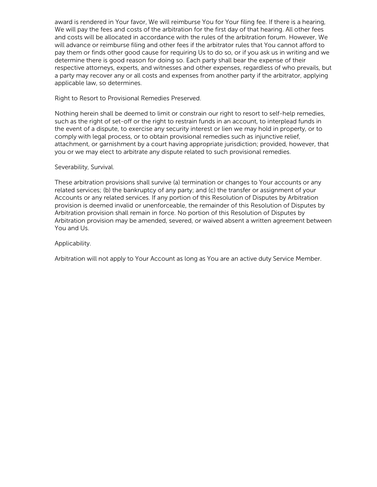award is rendered in Your favor, We will reimburse You for Your filing fee. If there is a hearing, We will pay the fees and costs of the arbitration for the first day of that hearing. All other fees and costs will be allocated in accordance with the rules of the arbitration forum. However, We will advance or reimburse filing and other fees if the arbitrator rules that You cannot afford to pay them or finds other good cause for requiring Us to do so, or if you ask us in writing and we determine there is good reason for doing so. Each party shall bear the expense of their respective attorneys, experts, and witnesses and other expenses, regardless of who prevails, but a party may recover any or all costs and expenses from another party if the arbitrator, applying applicable law, so determines.

Right to Resort to Provisional Remedies Preserved.

Nothing herein shall be deemed to limit or constrain our right to resort to self-help remedies, such as the right of set-off or the right to restrain funds in an account, to interplead funds in the event of a dispute, to exercise any security interest or lien we may hold in property, or to comply with legal process, or to obtain provisional remedies such as injunctive relief, attachment, or garnishment by a court having appropriate jurisdiction; provided, however, that you or we may elect to arbitrate any dispute related to such provisional remedies.

#### Severability, Survival.

These arbitration provisions shall survive (a) termination or changes to Your accounts or any related services; (b) the bankruptcy of any party; and (c) the transfer or assignment of your Accounts or any related services. If any portion of this Resolution of Disputes by Arbitration provision is deemed invalid or unenforceable, the remainder of this Resolution of Disputes by Arbitration provision shall remain in force. No portion of this Resolution of Disputes by Arbitration provision may be amended, severed, or waived absent a written agreement between You and Us.

#### Applicability.

Arbitration will not apply to Your Account as long as You are an active duty Service Member.